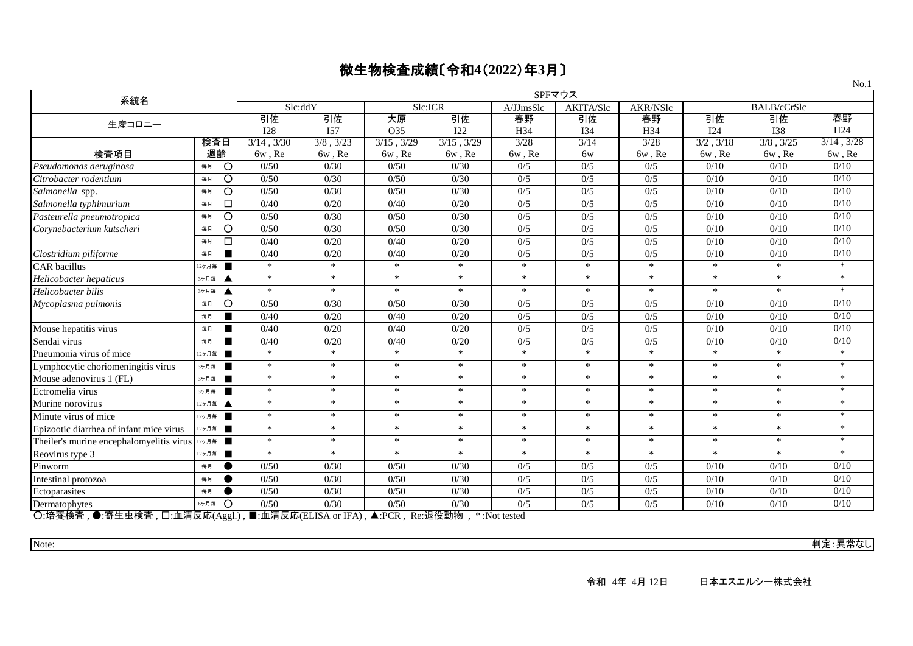|                                                                                                                                                                           |       | SPFマウス         |                                 |                |            |                            |           |           |          | 130.I          |                    |                 |
|---------------------------------------------------------------------------------------------------------------------------------------------------------------------------|-------|----------------|---------------------------------|----------------|------------|----------------------------|-----------|-----------|----------|----------------|--------------------|-----------------|
| 系統名                                                                                                                                                                       |       |                | Slc:ddY                         |                | Slc:ICR    |                            | A/JJmsSlc | AKITA/Slc | AKR/NSlc |                | <b>BALB/cCrSlc</b> |                 |
| 生産コロニー                                                                                                                                                                    |       |                | 引佐                              | 引佐             | 大原         | 引佐                         | 春野        | 引佐        | 春野       | 引佐             | 引佐                 | 春野              |
|                                                                                                                                                                           |       |                | <b>I28</b>                      | I57            | O35        | I22                        | H34       | I34       | H34      | I24            | <b>I38</b>         | H <sub>24</sub> |
|                                                                                                                                                                           | 検査日   |                | 3/14, 3/30                      | $3/8$ , $3/23$ | 3/15, 3/29 | $3/15$ , $3/29$            | $3/28$    | 3/14      | 3/28     | $3/2$ , $3/18$ | $3/8$ , $3/25$     | $3/14$ , $3/28$ |
| 検査項目                                                                                                                                                                      | 週齡    |                | 6w, Re                          | 6w, Re         | 6w, Re     | 6w, Re                     | 6w, Re    | 6w        | 6w, Re   | 6w, Re         | 6w, Re             | 6w, Re          |
| Pseudomonas aeruginosa                                                                                                                                                    | 毎月    | $\circ$        | 0/50                            | 0/30           | 0/50       | 0/30                       | 0/5       | 0/5       | 0/5      | 0/10           | 0/10               | 0/10            |
| Citrobacter rodentium                                                                                                                                                     | 毎月    | $\circ$        | 0/50                            | 0/30           | 0/50       | 0/30                       | 0/5       | 0/5       | 0/5      | 0/10           | 0/10               | 0/10            |
| Salmonella spp.                                                                                                                                                           | 毎月    | $\circ$        | 0/50                            | 0/30           | 0/50       | 0/30                       | 0/5       | 0/5       | 0/5      | 0/10           | 0/10               | 0/10            |
| Salmonella typhimurium                                                                                                                                                    | 毎月    | $\Box$         | 0/40                            | 0/20           | 0/40       | 0/20                       | 0/5       | 0/5       | 0/5      | 0/10           | 0/10               | 0/10            |
| Pasteurella pneumotropica                                                                                                                                                 | 毎月    | $\circ$        | 0/50                            | 0/30           | 0/50       | 0/30                       | 0/5       | 0/5       | 0/5      | 0/10           | 0/10               | 0/10            |
| Corynebacterium kutscheri                                                                                                                                                 | 毎月    | $\circ$        | 0/50                            | 0/30           | 0/50       | 0/30                       | 0/5       | 0/5       | 0/5      | 0/10           | 0/10               | 0/10            |
|                                                                                                                                                                           | 毎月    | $\Box$         | 0/40                            | 0/20           | 0/40       | 0/20                       | 0/5       | 0/5       | 0/5      | 0/10           | 0/10               | 0/10            |
| Clostridium piliforme                                                                                                                                                     | 毎月    | п              | 0/40                            | 0/20           | 0/40       | 0/20                       | 0/5       | 0/5       | 0/5      | 0/10           | 0/10               | 0/10            |
| <b>CAR</b> bacillus                                                                                                                                                       | 12ヶ月毎 | п              | $\ast$                          | $\ast$         | $*$        | $*$                        | $*$       | $\ast$    | $*$      | $\ast$         | $*$                | $\ast$          |
| Helicobacter hepaticus                                                                                                                                                    | 3ヶ月毎  |                | $\ast$                          | $\ast$         | $\ast$     | $\ast$                     | $*$       | $\ast$    | $*$      | $\ast$         | $\ast$             | $*$             |
| Helicobacter bilis                                                                                                                                                        | 3ヶ月毎  | ▲              | $\ast$                          | $\ast$         | $\ast$     | $\ast$                     | $\ast$    | $\ast$    | $\ast$   | $\ast$         | $\ast$             | $*$             |
| Mycoplasma pulmonis                                                                                                                                                       | 毎月    | $\circ$        | 0/50                            | 0/30           | 0/50       | 0/30                       | 0/5       | 0/5       | 0/5      | 0/10           | 0/10               | 0/10            |
|                                                                                                                                                                           | 毎月    | $\blacksquare$ | 0/40                            | 0/20           | 0/40       | 0/20                       | 0/5       | 0/5       | 0/5      | 0/10           | 0/10               | 0/10            |
| Mouse hepatitis virus                                                                                                                                                     | 毎月    | п              | 0/40                            | 0/20           | 0/40       | 0/20                       | 0/5       | 0/5       | 0/5      | 0/10           | 0/10               | 0/10            |
| Sendai virus                                                                                                                                                              | 毎月    | п              | 0/40                            | 0/20           | 0/40       | 0/20                       | 0/5       | 0/5       | 0/5      | 0/10           | 0/10               | 0/10            |
| Pneumonia virus of mice                                                                                                                                                   | 12ヶ月毎 | п              | $\ast$                          | $\ast$         | $\ast$     | $\ast$                     | $\ast$    | $\ast$    | $\ast$   | $\ast$         | $\ast$             | $\ast$          |
| Lymphocytic choriomeningitis virus                                                                                                                                        | 3ヶ月毎  | п              | $\ast$                          | $\ast$         | $\ast$     | $\ast$                     | $\ast$    | $\ast$    | $\ast$   | $\ast$         | $\ast$             | $\ast$          |
| Mouse adenovirus 1 (FL)                                                                                                                                                   | 3ヶ月毎  | п              | $\ast$                          | $\ast$         | $\ast$     | $\ast$                     | $\ast$    | $\ast$    | $\ast$   | $\ast$         | $\ast$             | $\ast$          |
| Ectromelia virus                                                                                                                                                          | 3ヶ月毎  | п              | $\ast$                          | $\ast$         | $\ast$     | $\ast$                     | $\ast$    | $\ast$    | $\ast$   | $\ast$         | $\ast$             | $\ast$          |
| Murine norovirus                                                                                                                                                          | 12ヶ月毎 | ▲              | $\ast$                          | $\star$        | $*$        | $\ast$                     | $\ast$    | $\ast$    | $*$      | $\ast$         | $*$                | $*$             |
| Minute virus of mice                                                                                                                                                      | 12ヶ月毎 | п              | $*$                             | $*$            | $\ast$     | $*$                        | $*$       | $\ast$    | $*$      | $\ast$         | $\ast$             | $*$             |
| Epizootic diarrhea of infant mice virus                                                                                                                                   | 12ヶ月毎 | п              | $\ast$                          | $\ast$         | $\ast$     | $\ast$                     | $\ast$    | $\ast$    | $\ast$   | $\ast$         | $\ast$             | $\ast$          |
| The iler's murine encephalomy elitis virus $125\pi$                                                                                                                       |       | $\blacksquare$ | $\ast$                          | $\ast$         | $\ast$     | $\ast$                     | $\ast$    | $\ast$    | $\ast$   | $\ast$         | $\ast$             | $\ast$          |
| Reovirus type 3                                                                                                                                                           | 12ヶ月毎 | $\blacksquare$ | $\ast$                          | $\ast$         | $\ast$     | $\ast$                     | $\ast$    | $\ast$    | $\ast$   | $\ast$         | $\ast$             | $\ast$          |
| Pinworm                                                                                                                                                                   | 毎月    | $\bullet$      | 0/50                            | 0/30           | 0/50       | 0/30                       | 0/5       | 0/5       | 0/5      | 0/10           | 0/10               | 0/10            |
| Intestinal protozoa                                                                                                                                                       | 毎月    |                | 0/50                            | 0/30           | 0/50       | 0/30                       | 0/5       | 0/5       | 0/5      | 0/10           | 0/10               | 0/10            |
| Ectoparasites                                                                                                                                                             | 毎月    | ●              | 0/50                            | 0/30           | 0/50       | 0/30                       | 0/5       | 0/5       | 0/5      | 0/10           | 0/10               | 0/10            |
| Dermatophytes<br>⌒ !☆ <del>*</del> :ヘ ★<br>$\bullet$ could be $\bullet$ and $\bullet$ and $\bullet$ and $\bullet$ and $\bullet$ and $\bullet$ and $\bullet$ and $\bullet$ | 6ヶ月毎  | O              | 0/50<br>$\pm$ m $\pm$ m $\pm$ m | 0/30           | 0/50       | 0/30<br><b>YELKO-FILAL</b> | 0/5       | 0/5       | 0/5      | 0/10           | 0/10               | 0/10            |

○:培養検査 , ●:寄生虫検査 , □:血清反応(Aggl.) , ■:血清反応(ELISA or IFA) , ▲:PCR , Re:退役動物 , \* :Not tested

Note: 判定:異常なし

 $N_0$  1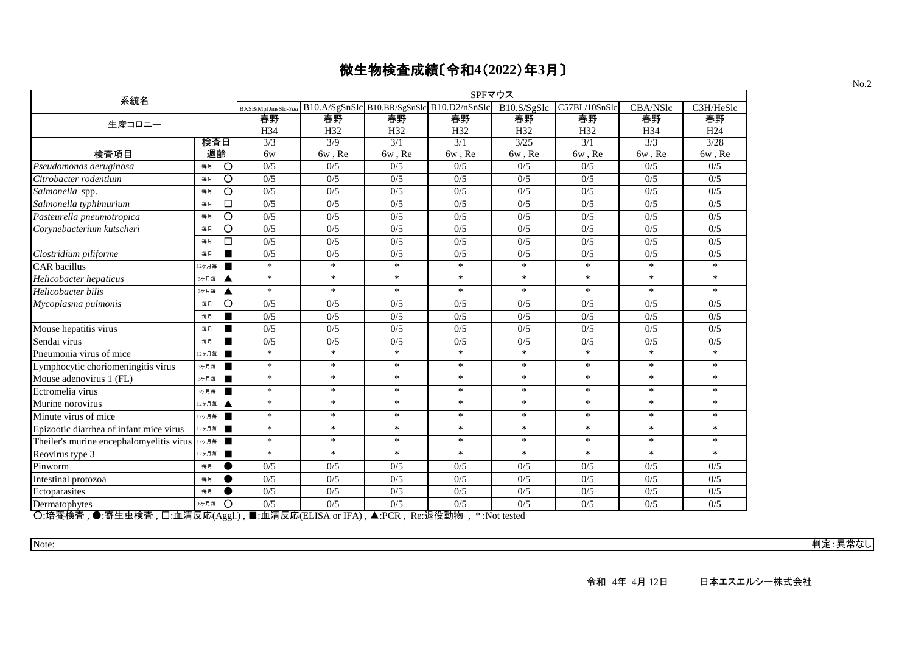| B10.A/SgSnSlc B10.BR/SgSnSlc B10.D2/nSnSlc<br>B10.S/SgSlc<br>C57BL/10SnSlc<br>CBA/NSlc<br>C3H/HeSlc<br>BXSB/MpJJmsSlc-Yaa<br>春野<br>春野<br>春野<br>春野<br>春野<br>春野<br>春野<br>春野<br>生産コロニー<br>H34<br>H32<br>H32<br>H32<br>H32<br>H <sub>32</sub><br>H <sub>24</sub><br>H34<br>検査日<br>3/3<br>3/9<br>3/1<br>3/25<br>3/1<br>3/3<br>3/28<br>3/1<br>週齡<br>検査項目<br>6w, Re<br>6w, Re<br>$6w$ , $Re$<br>6w, Re<br>6w, Re<br>6w<br>6w, Re<br>6w, Re<br>O<br>0/5<br>0/5<br>0/5<br>0/5<br>0/5<br>毎月<br>0/5<br>0/5<br>0/5<br>Pseudomonas aeruginosa<br>0/5<br>$\circ$<br>0/5<br>0/5<br>0/5<br>0/5<br>0/5<br>0/5<br>0/5<br>Citrobacter rodentium<br>毎月<br>$\circ$<br>0/5<br>0/5<br>0/5<br>0/5<br>0/5<br>0/5<br>Salmonella spp.<br>0/5<br>0/5<br>毎月<br>0/5<br>0/5<br>0/5<br>0/5<br>0/5<br>0/5<br>0/5<br>0/5<br>□<br>毎月<br>O<br>0/5<br>0/5<br>0/5<br>0/5<br>0/5<br>0/5<br>0/5<br>0/5<br>毎月<br>0/5<br>0/5<br>0/5<br>0/5<br>0/5<br>0/5<br>0/5<br>0/5<br>O<br>毎月<br>0/5<br>0/5<br>0/5<br>0/5<br>0/5<br>0/5<br>0/5<br>0/5<br>□<br>毎月<br>0/5<br>0/5<br>0/5<br>0/5<br>0/5<br>0/5<br>0/5<br>0/5<br>$\blacksquare$<br>毎月<br>$\ast$<br>$*$<br>$\ast$<br>$*$<br>$\ast$<br>$\ast$<br>$\ast$<br>$*$<br>12ヶ月毎<br>п<br>$\ast$<br>$\ast$<br>$\ast$<br>$\ast$<br>$\ast$<br>$\ast$<br>$\ast$<br>$\ast$<br>3ヶ月毎<br>▲<br>$\ast$<br>$\ast$<br>$\ast$<br>$\ast$<br>$\ast$<br>$\ast$<br>$\ast$<br>$\ast$<br>3ヶ月毎<br>▲<br>O<br>0/5<br>0/5<br>0/5<br>0/5<br>0/5<br>0/5<br>0/5<br>0/5<br>毎月<br>0/5<br>0/5<br>0/5<br>0/5<br>0/5<br>0/5<br>0/5<br>0/5<br>毎月<br>$\blacksquare$<br>0/5<br>0/5<br>0/5<br>0/5<br>0/5<br>0/5<br>0/5<br>0/5<br>毎月<br>0/5<br>0/5<br>0/5<br>0/5<br>0/5<br>0/5<br>0/5<br>0/5<br>п<br>毎月<br>$\ast$<br>$\ast$<br>$\ast$<br>$\ast$<br>$\ast$<br>$\ast$<br>$\ast$<br>$\ast$<br>12ヶ月毎<br>$\blacksquare$<br>$\ast$<br>$\ast$<br>$\ast$<br>$\ast$<br>$\ast$<br>$\ast$<br>$\ast$<br>$\ast$<br>3ヶ月毎<br>$\ast$<br>$\ast$<br>$\ast$<br>$*$<br>$\ast$<br>$\ast$<br>$\ast$<br>$\ast$<br>3ヶ月毎<br>п<br>$\ast$<br>$\ast$<br>$\ast$<br>$\ast$<br>$\ast$<br>$\ast$<br>$\ast$<br>$\ast$<br>3ヶ月毎<br>$\ast$<br>$\ast$<br>$\ast$<br>$\ast$<br>$\ast$<br>$\ast$<br>$\ast$<br>$\ast$<br>12ヶ月毎<br>▲<br>$\ast$<br>$*$<br>$\ast$<br>$\ast$<br>$\ast$<br>$\ast$<br>$\ast$<br>$\ast$<br>12ヶ月毎<br>$\blacksquare$<br>$\ast$<br>$\ast$<br>$\ast$<br>$\ast$<br>$\ast$<br>$\ast$<br>$\ast$<br>$\ast$<br>12ヶ月毎<br>$\blacksquare$<br>$\ast$<br>$\ast$<br>$\ast$<br>$\ast$<br>$\ast$<br>$\ast$<br>$\ast$<br>$\ast$<br>п<br>12ヶ月毎<br>$\ast$<br>$\ast$<br>$\ast$<br>$\ast$<br>$\ast$<br>$\ast$<br>$*$<br>$\ast$<br>12ヶ月毎<br>0/5<br>0/5<br>0/5<br>0/5<br>0/5<br>0/5<br>0/5<br>0/5<br>毎月<br>0/5<br>0/5<br>0/5<br>0/5<br>0/5<br>0/5<br>0/5<br>0/5<br>毎月<br>$\bullet$<br>0/5<br>0/5<br>0/5<br>0/5<br>0/5<br>0/5<br>0/5<br>0/5<br>$\bullet$<br>毎月<br>$\circ$<br>0/5<br>0/5<br>0/5<br>0/5<br>0/5<br>0/5<br>0/5<br>0/5<br>6ヶ月毎<br>$\bigcap_{n \neq k}$ $\downarrow$ $\downarrow$ $\downarrow$ $\downarrow$ $\downarrow$ $\downarrow$ $\downarrow$ $\downarrow$ $\downarrow$ $\downarrow$ $\downarrow$ $\downarrow$ $\downarrow$ $\downarrow$ $\downarrow$ $\downarrow$ $\downarrow$ $\downarrow$ $\downarrow$ $\downarrow$ $\downarrow$ $\downarrow$ $\downarrow$ $\downarrow$ $\downarrow$ $\downarrow$ $\downarrow$ $\downarrow$ $\downarrow$ $\downarrow$ $\downarrow$ $\downarrow$ $\downarrow$ $\downarrow$ $\downarrow$<br>■ 责注目责≥□□□▲<br>□ 而注口责 △<br>$\Delta$ DOD | 系統名                                      |  |  | SPFマウス |  |  |
|--------------------------------------------------------------------------------------------------------------------------------------------------------------------------------------------------------------------------------------------------------------------------------------------------------------------------------------------------------------------------------------------------------------------------------------------------------------------------------------------------------------------------------------------------------------------------------------------------------------------------------------------------------------------------------------------------------------------------------------------------------------------------------------------------------------------------------------------------------------------------------------------------------------------------------------------------------------------------------------------------------------------------------------------------------------------------------------------------------------------------------------------------------------------------------------------------------------------------------------------------------------------------------------------------------------------------------------------------------------------------------------------------------------------------------------------------------------------------------------------------------------------------------------------------------------------------------------------------------------------------------------------------------------------------------------------------------------------------------------------------------------------------------------------------------------------------------------------------------------------------------------------------------------------------------------------------------------------------------------------------------------------------------------------------------------------------------------------------------------------------------------------------------------------------------------------------------------------------------------------------------------------------------------------------------------------------------------------------------------------------------------------------------------------------------------------------------------------------------------------------------------------------------------------------------------------------------------------------------------------------------------------------------------------------------------------------------------------------------------------------------------------------------------------------------------------------------------------------------------------------------------------------------------------------------------------------------------------------------------------------------------------------------------------------------------------------------------------------------------------------------------------------------------------------------------------------------------------------------------------------------------------------------------------------------------------------------------------------------------------------------------------------|------------------------------------------|--|--|--------|--|--|
|                                                                                                                                                                                                                                                                                                                                                                                                                                                                                                                                                                                                                                                                                                                                                                                                                                                                                                                                                                                                                                                                                                                                                                                                                                                                                                                                                                                                                                                                                                                                                                                                                                                                                                                                                                                                                                                                                                                                                                                                                                                                                                                                                                                                                                                                                                                                                                                                                                                                                                                                                                                                                                                                                                                                                                                                                                                                                                                                                                                                                                                                                                                                                                                                                                                                                                                                                                                                  |                                          |  |  |        |  |  |
|                                                                                                                                                                                                                                                                                                                                                                                                                                                                                                                                                                                                                                                                                                                                                                                                                                                                                                                                                                                                                                                                                                                                                                                                                                                                                                                                                                                                                                                                                                                                                                                                                                                                                                                                                                                                                                                                                                                                                                                                                                                                                                                                                                                                                                                                                                                                                                                                                                                                                                                                                                                                                                                                                                                                                                                                                                                                                                                                                                                                                                                                                                                                                                                                                                                                                                                                                                                                  |                                          |  |  |        |  |  |
|                                                                                                                                                                                                                                                                                                                                                                                                                                                                                                                                                                                                                                                                                                                                                                                                                                                                                                                                                                                                                                                                                                                                                                                                                                                                                                                                                                                                                                                                                                                                                                                                                                                                                                                                                                                                                                                                                                                                                                                                                                                                                                                                                                                                                                                                                                                                                                                                                                                                                                                                                                                                                                                                                                                                                                                                                                                                                                                                                                                                                                                                                                                                                                                                                                                                                                                                                                                                  |                                          |  |  |        |  |  |
|                                                                                                                                                                                                                                                                                                                                                                                                                                                                                                                                                                                                                                                                                                                                                                                                                                                                                                                                                                                                                                                                                                                                                                                                                                                                                                                                                                                                                                                                                                                                                                                                                                                                                                                                                                                                                                                                                                                                                                                                                                                                                                                                                                                                                                                                                                                                                                                                                                                                                                                                                                                                                                                                                                                                                                                                                                                                                                                                                                                                                                                                                                                                                                                                                                                                                                                                                                                                  |                                          |  |  |        |  |  |
|                                                                                                                                                                                                                                                                                                                                                                                                                                                                                                                                                                                                                                                                                                                                                                                                                                                                                                                                                                                                                                                                                                                                                                                                                                                                                                                                                                                                                                                                                                                                                                                                                                                                                                                                                                                                                                                                                                                                                                                                                                                                                                                                                                                                                                                                                                                                                                                                                                                                                                                                                                                                                                                                                                                                                                                                                                                                                                                                                                                                                                                                                                                                                                                                                                                                                                                                                                                                  |                                          |  |  |        |  |  |
|                                                                                                                                                                                                                                                                                                                                                                                                                                                                                                                                                                                                                                                                                                                                                                                                                                                                                                                                                                                                                                                                                                                                                                                                                                                                                                                                                                                                                                                                                                                                                                                                                                                                                                                                                                                                                                                                                                                                                                                                                                                                                                                                                                                                                                                                                                                                                                                                                                                                                                                                                                                                                                                                                                                                                                                                                                                                                                                                                                                                                                                                                                                                                                                                                                                                                                                                                                                                  |                                          |  |  |        |  |  |
|                                                                                                                                                                                                                                                                                                                                                                                                                                                                                                                                                                                                                                                                                                                                                                                                                                                                                                                                                                                                                                                                                                                                                                                                                                                                                                                                                                                                                                                                                                                                                                                                                                                                                                                                                                                                                                                                                                                                                                                                                                                                                                                                                                                                                                                                                                                                                                                                                                                                                                                                                                                                                                                                                                                                                                                                                                                                                                                                                                                                                                                                                                                                                                                                                                                                                                                                                                                                  |                                          |  |  |        |  |  |
|                                                                                                                                                                                                                                                                                                                                                                                                                                                                                                                                                                                                                                                                                                                                                                                                                                                                                                                                                                                                                                                                                                                                                                                                                                                                                                                                                                                                                                                                                                                                                                                                                                                                                                                                                                                                                                                                                                                                                                                                                                                                                                                                                                                                                                                                                                                                                                                                                                                                                                                                                                                                                                                                                                                                                                                                                                                                                                                                                                                                                                                                                                                                                                                                                                                                                                                                                                                                  |                                          |  |  |        |  |  |
|                                                                                                                                                                                                                                                                                                                                                                                                                                                                                                                                                                                                                                                                                                                                                                                                                                                                                                                                                                                                                                                                                                                                                                                                                                                                                                                                                                                                                                                                                                                                                                                                                                                                                                                                                                                                                                                                                                                                                                                                                                                                                                                                                                                                                                                                                                                                                                                                                                                                                                                                                                                                                                                                                                                                                                                                                                                                                                                                                                                                                                                                                                                                                                                                                                                                                                                                                                                                  | Salmonella typhimurium                   |  |  |        |  |  |
|                                                                                                                                                                                                                                                                                                                                                                                                                                                                                                                                                                                                                                                                                                                                                                                                                                                                                                                                                                                                                                                                                                                                                                                                                                                                                                                                                                                                                                                                                                                                                                                                                                                                                                                                                                                                                                                                                                                                                                                                                                                                                                                                                                                                                                                                                                                                                                                                                                                                                                                                                                                                                                                                                                                                                                                                                                                                                                                                                                                                                                                                                                                                                                                                                                                                                                                                                                                                  | Pasteurella pneumotropica                |  |  |        |  |  |
|                                                                                                                                                                                                                                                                                                                                                                                                                                                                                                                                                                                                                                                                                                                                                                                                                                                                                                                                                                                                                                                                                                                                                                                                                                                                                                                                                                                                                                                                                                                                                                                                                                                                                                                                                                                                                                                                                                                                                                                                                                                                                                                                                                                                                                                                                                                                                                                                                                                                                                                                                                                                                                                                                                                                                                                                                                                                                                                                                                                                                                                                                                                                                                                                                                                                                                                                                                                                  | Corynebacterium kutscheri                |  |  |        |  |  |
|                                                                                                                                                                                                                                                                                                                                                                                                                                                                                                                                                                                                                                                                                                                                                                                                                                                                                                                                                                                                                                                                                                                                                                                                                                                                                                                                                                                                                                                                                                                                                                                                                                                                                                                                                                                                                                                                                                                                                                                                                                                                                                                                                                                                                                                                                                                                                                                                                                                                                                                                                                                                                                                                                                                                                                                                                                                                                                                                                                                                                                                                                                                                                                                                                                                                                                                                                                                                  |                                          |  |  |        |  |  |
|                                                                                                                                                                                                                                                                                                                                                                                                                                                                                                                                                                                                                                                                                                                                                                                                                                                                                                                                                                                                                                                                                                                                                                                                                                                                                                                                                                                                                                                                                                                                                                                                                                                                                                                                                                                                                                                                                                                                                                                                                                                                                                                                                                                                                                                                                                                                                                                                                                                                                                                                                                                                                                                                                                                                                                                                                                                                                                                                                                                                                                                                                                                                                                                                                                                                                                                                                                                                  | Clostridium piliforme                    |  |  |        |  |  |
|                                                                                                                                                                                                                                                                                                                                                                                                                                                                                                                                                                                                                                                                                                                                                                                                                                                                                                                                                                                                                                                                                                                                                                                                                                                                                                                                                                                                                                                                                                                                                                                                                                                                                                                                                                                                                                                                                                                                                                                                                                                                                                                                                                                                                                                                                                                                                                                                                                                                                                                                                                                                                                                                                                                                                                                                                                                                                                                                                                                                                                                                                                                                                                                                                                                                                                                                                                                                  | <b>CAR</b> bacillus                      |  |  |        |  |  |
|                                                                                                                                                                                                                                                                                                                                                                                                                                                                                                                                                                                                                                                                                                                                                                                                                                                                                                                                                                                                                                                                                                                                                                                                                                                                                                                                                                                                                                                                                                                                                                                                                                                                                                                                                                                                                                                                                                                                                                                                                                                                                                                                                                                                                                                                                                                                                                                                                                                                                                                                                                                                                                                                                                                                                                                                                                                                                                                                                                                                                                                                                                                                                                                                                                                                                                                                                                                                  | Helicobacter hepaticus                   |  |  |        |  |  |
|                                                                                                                                                                                                                                                                                                                                                                                                                                                                                                                                                                                                                                                                                                                                                                                                                                                                                                                                                                                                                                                                                                                                                                                                                                                                                                                                                                                                                                                                                                                                                                                                                                                                                                                                                                                                                                                                                                                                                                                                                                                                                                                                                                                                                                                                                                                                                                                                                                                                                                                                                                                                                                                                                                                                                                                                                                                                                                                                                                                                                                                                                                                                                                                                                                                                                                                                                                                                  | Helicobacter bilis                       |  |  |        |  |  |
|                                                                                                                                                                                                                                                                                                                                                                                                                                                                                                                                                                                                                                                                                                                                                                                                                                                                                                                                                                                                                                                                                                                                                                                                                                                                                                                                                                                                                                                                                                                                                                                                                                                                                                                                                                                                                                                                                                                                                                                                                                                                                                                                                                                                                                                                                                                                                                                                                                                                                                                                                                                                                                                                                                                                                                                                                                                                                                                                                                                                                                                                                                                                                                                                                                                                                                                                                                                                  | Mycoplasma pulmonis                      |  |  |        |  |  |
|                                                                                                                                                                                                                                                                                                                                                                                                                                                                                                                                                                                                                                                                                                                                                                                                                                                                                                                                                                                                                                                                                                                                                                                                                                                                                                                                                                                                                                                                                                                                                                                                                                                                                                                                                                                                                                                                                                                                                                                                                                                                                                                                                                                                                                                                                                                                                                                                                                                                                                                                                                                                                                                                                                                                                                                                                                                                                                                                                                                                                                                                                                                                                                                                                                                                                                                                                                                                  |                                          |  |  |        |  |  |
|                                                                                                                                                                                                                                                                                                                                                                                                                                                                                                                                                                                                                                                                                                                                                                                                                                                                                                                                                                                                                                                                                                                                                                                                                                                                                                                                                                                                                                                                                                                                                                                                                                                                                                                                                                                                                                                                                                                                                                                                                                                                                                                                                                                                                                                                                                                                                                                                                                                                                                                                                                                                                                                                                                                                                                                                                                                                                                                                                                                                                                                                                                                                                                                                                                                                                                                                                                                                  | Mouse hepatitis virus                    |  |  |        |  |  |
|                                                                                                                                                                                                                                                                                                                                                                                                                                                                                                                                                                                                                                                                                                                                                                                                                                                                                                                                                                                                                                                                                                                                                                                                                                                                                                                                                                                                                                                                                                                                                                                                                                                                                                                                                                                                                                                                                                                                                                                                                                                                                                                                                                                                                                                                                                                                                                                                                                                                                                                                                                                                                                                                                                                                                                                                                                                                                                                                                                                                                                                                                                                                                                                                                                                                                                                                                                                                  | Sendai virus                             |  |  |        |  |  |
|                                                                                                                                                                                                                                                                                                                                                                                                                                                                                                                                                                                                                                                                                                                                                                                                                                                                                                                                                                                                                                                                                                                                                                                                                                                                                                                                                                                                                                                                                                                                                                                                                                                                                                                                                                                                                                                                                                                                                                                                                                                                                                                                                                                                                                                                                                                                                                                                                                                                                                                                                                                                                                                                                                                                                                                                                                                                                                                                                                                                                                                                                                                                                                                                                                                                                                                                                                                                  | Pneumonia virus of mice                  |  |  |        |  |  |
|                                                                                                                                                                                                                                                                                                                                                                                                                                                                                                                                                                                                                                                                                                                                                                                                                                                                                                                                                                                                                                                                                                                                                                                                                                                                                                                                                                                                                                                                                                                                                                                                                                                                                                                                                                                                                                                                                                                                                                                                                                                                                                                                                                                                                                                                                                                                                                                                                                                                                                                                                                                                                                                                                                                                                                                                                                                                                                                                                                                                                                                                                                                                                                                                                                                                                                                                                                                                  | Lymphocytic choriomeningitis virus       |  |  |        |  |  |
|                                                                                                                                                                                                                                                                                                                                                                                                                                                                                                                                                                                                                                                                                                                                                                                                                                                                                                                                                                                                                                                                                                                                                                                                                                                                                                                                                                                                                                                                                                                                                                                                                                                                                                                                                                                                                                                                                                                                                                                                                                                                                                                                                                                                                                                                                                                                                                                                                                                                                                                                                                                                                                                                                                                                                                                                                                                                                                                                                                                                                                                                                                                                                                                                                                                                                                                                                                                                  | Mouse adenovirus 1 (FL)                  |  |  |        |  |  |
|                                                                                                                                                                                                                                                                                                                                                                                                                                                                                                                                                                                                                                                                                                                                                                                                                                                                                                                                                                                                                                                                                                                                                                                                                                                                                                                                                                                                                                                                                                                                                                                                                                                                                                                                                                                                                                                                                                                                                                                                                                                                                                                                                                                                                                                                                                                                                                                                                                                                                                                                                                                                                                                                                                                                                                                                                                                                                                                                                                                                                                                                                                                                                                                                                                                                                                                                                                                                  | Ectromelia virus                         |  |  |        |  |  |
|                                                                                                                                                                                                                                                                                                                                                                                                                                                                                                                                                                                                                                                                                                                                                                                                                                                                                                                                                                                                                                                                                                                                                                                                                                                                                                                                                                                                                                                                                                                                                                                                                                                                                                                                                                                                                                                                                                                                                                                                                                                                                                                                                                                                                                                                                                                                                                                                                                                                                                                                                                                                                                                                                                                                                                                                                                                                                                                                                                                                                                                                                                                                                                                                                                                                                                                                                                                                  | Murine norovirus                         |  |  |        |  |  |
|                                                                                                                                                                                                                                                                                                                                                                                                                                                                                                                                                                                                                                                                                                                                                                                                                                                                                                                                                                                                                                                                                                                                                                                                                                                                                                                                                                                                                                                                                                                                                                                                                                                                                                                                                                                                                                                                                                                                                                                                                                                                                                                                                                                                                                                                                                                                                                                                                                                                                                                                                                                                                                                                                                                                                                                                                                                                                                                                                                                                                                                                                                                                                                                                                                                                                                                                                                                                  | Minute virus of mice                     |  |  |        |  |  |
|                                                                                                                                                                                                                                                                                                                                                                                                                                                                                                                                                                                                                                                                                                                                                                                                                                                                                                                                                                                                                                                                                                                                                                                                                                                                                                                                                                                                                                                                                                                                                                                                                                                                                                                                                                                                                                                                                                                                                                                                                                                                                                                                                                                                                                                                                                                                                                                                                                                                                                                                                                                                                                                                                                                                                                                                                                                                                                                                                                                                                                                                                                                                                                                                                                                                                                                                                                                                  | Epizootic diarrhea of infant mice virus  |  |  |        |  |  |
|                                                                                                                                                                                                                                                                                                                                                                                                                                                                                                                                                                                                                                                                                                                                                                                                                                                                                                                                                                                                                                                                                                                                                                                                                                                                                                                                                                                                                                                                                                                                                                                                                                                                                                                                                                                                                                                                                                                                                                                                                                                                                                                                                                                                                                                                                                                                                                                                                                                                                                                                                                                                                                                                                                                                                                                                                                                                                                                                                                                                                                                                                                                                                                                                                                                                                                                                                                                                  | Theiler's murine encephalomyelitis virus |  |  |        |  |  |
|                                                                                                                                                                                                                                                                                                                                                                                                                                                                                                                                                                                                                                                                                                                                                                                                                                                                                                                                                                                                                                                                                                                                                                                                                                                                                                                                                                                                                                                                                                                                                                                                                                                                                                                                                                                                                                                                                                                                                                                                                                                                                                                                                                                                                                                                                                                                                                                                                                                                                                                                                                                                                                                                                                                                                                                                                                                                                                                                                                                                                                                                                                                                                                                                                                                                                                                                                                                                  | Reovirus type 3                          |  |  |        |  |  |
|                                                                                                                                                                                                                                                                                                                                                                                                                                                                                                                                                                                                                                                                                                                                                                                                                                                                                                                                                                                                                                                                                                                                                                                                                                                                                                                                                                                                                                                                                                                                                                                                                                                                                                                                                                                                                                                                                                                                                                                                                                                                                                                                                                                                                                                                                                                                                                                                                                                                                                                                                                                                                                                                                                                                                                                                                                                                                                                                                                                                                                                                                                                                                                                                                                                                                                                                                                                                  | Pinworm                                  |  |  |        |  |  |
|                                                                                                                                                                                                                                                                                                                                                                                                                                                                                                                                                                                                                                                                                                                                                                                                                                                                                                                                                                                                                                                                                                                                                                                                                                                                                                                                                                                                                                                                                                                                                                                                                                                                                                                                                                                                                                                                                                                                                                                                                                                                                                                                                                                                                                                                                                                                                                                                                                                                                                                                                                                                                                                                                                                                                                                                                                                                                                                                                                                                                                                                                                                                                                                                                                                                                                                                                                                                  | Intestinal protozoa                      |  |  |        |  |  |
|                                                                                                                                                                                                                                                                                                                                                                                                                                                                                                                                                                                                                                                                                                                                                                                                                                                                                                                                                                                                                                                                                                                                                                                                                                                                                                                                                                                                                                                                                                                                                                                                                                                                                                                                                                                                                                                                                                                                                                                                                                                                                                                                                                                                                                                                                                                                                                                                                                                                                                                                                                                                                                                                                                                                                                                                                                                                                                                                                                                                                                                                                                                                                                                                                                                                                                                                                                                                  | Ectoparasites                            |  |  |        |  |  |
|                                                                                                                                                                                                                                                                                                                                                                                                                                                                                                                                                                                                                                                                                                                                                                                                                                                                                                                                                                                                                                                                                                                                                                                                                                                                                                                                                                                                                                                                                                                                                                                                                                                                                                                                                                                                                                                                                                                                                                                                                                                                                                                                                                                                                                                                                                                                                                                                                                                                                                                                                                                                                                                                                                                                                                                                                                                                                                                                                                                                                                                                                                                                                                                                                                                                                                                                                                                                  | Dermatophytes                            |  |  |        |  |  |

○:培養検査 , ●:寄生虫検査 , □:血清反応(Aggl.) , ■:血清反応(ELISA or IFA) , ▲:PCR , Re:退役動物 , \* :Not tested

Note: 判定:異常なし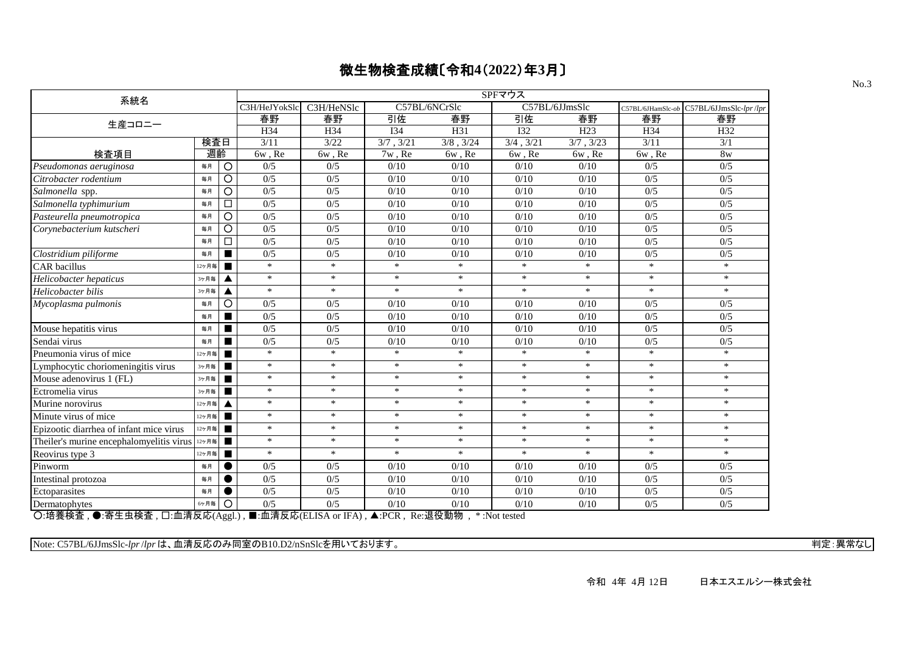| 系統名                                                     |       |                | SPFマウス        |                                                 |            |                |             |                 |                   |                        |  |  |  |
|---------------------------------------------------------|-------|----------------|---------------|-------------------------------------------------|------------|----------------|-------------|-----------------|-------------------|------------------------|--|--|--|
|                                                         |       |                | C3H/HeJYokSlc | C3H/HeNSlc                                      |            | C57BL/6NCrSlc  |             | C57BL/6JJmsSlc  | C57BL/6JHamSlc-ob | C57BL/6JJmsSlc-lpr/lpr |  |  |  |
| 生産コロニー                                                  |       |                | 春野            | 春野                                              | 引佐         | 春野             | 引佐          | 春野              | 春野                | 春野                     |  |  |  |
|                                                         |       |                | H34           | H34                                             | <b>I34</b> | H31            | <b>I32</b>  | H <sub>23</sub> | H34               | H32                    |  |  |  |
|                                                         | 検査日   |                | 3/11          | 3/22                                            | 3/7, 3/21  | $3/8$ , $3/24$ | 3/4, 3/21   | 3/7, 3/23       | 3/11              | 3/1                    |  |  |  |
| 検査項目                                                    | 週齡    |                | 6w, Re        | 6w, Re                                          | 7w, Re     | 6w, Re         | $6w$ , $Re$ | 6w, Re          | 6w, Re            | 8 <sub>w</sub>         |  |  |  |
| Pseudomonas aeruginosa                                  | 毎月    | O              | 0/5           | 0/5                                             | 0/10       | 0/10           | 0/10        | 0/10            | 0/5               | 0/5                    |  |  |  |
| Citrobacter rodentium                                   | 毎月    | O              | 0/5           | 0/5                                             | 0/10       | 0/10           | 0/10        | 0/10            | 0/5               | 0/5                    |  |  |  |
| Salmonella spp.                                         | 毎月    | O              | 0/5           | 0/5                                             | 0/10       | 0/10           | 0/10        | 0/10            | 0/5               | 0/5                    |  |  |  |
| Salmonella typhimurium                                  | 毎月    | □              | 0/5           | 0/5                                             | 0/10       | 0/10           | 0/10        | 0/10            | 0/5               | 0/5                    |  |  |  |
| Pasteurella pneumotropica                               | 毎月    | $\circ$        | 0/5           | 0/5                                             | 0/10       | 0/10           | 0/10        | 0/10            | 0/5               | 0/5                    |  |  |  |
| Corynebacterium kutscheri                               | 毎月    | O              | 0/5           | 0/5                                             | 0/10       | 0/10           | 0/10        | 0/10            | 0/5               | 0/5                    |  |  |  |
|                                                         | 毎月    | □              | 0/5           | 0/5                                             | 0/10       | 0/10           | 0/10        | 0/10            | 0/5               | 0/5                    |  |  |  |
| Clostridium piliforme                                   | 毎月    | ■              | 0/5           | 0/5                                             | 0/10       | 0/10           | 0/10        | 0/10            | 0/5               | 0/5                    |  |  |  |
| CAR bacillus                                            | 12ヶ月毎 | ▬              | $\ast$        | $\ast$                                          | $\ast$     | $\ast$         | $*$         | $\ast$          | $\ast$            | $\ast$                 |  |  |  |
| Helicobacter hepaticus                                  | 3ヶ月毎  |                | $\ast$        | $\ast$                                          | $\ast$     | $\ast$         | $\ast$      | $\ast$          | $\ast$            | $\ast$                 |  |  |  |
| Helicobacter bilis                                      | 3ヶ月毎  |                | $\ast$        | $\ast$                                          | $\ast$     | $\ast$         | $\ast$      | $\ast$          | $\ast$            | $\ast$                 |  |  |  |
| Mycoplasma pulmonis                                     | 毎月    | O              | 0/5           | 0/5                                             | 0/10       | 0/10           | 0/10        | 0/10            | 0/5               | 0/5                    |  |  |  |
|                                                         | 毎月    | ■              | 0/5           | 0/5                                             | 0/10       | 0/10           | 0/10        | $0/10$          | 0/5               | 0/5                    |  |  |  |
| Mouse hepatitis virus                                   | 毎月    |                | 0/5           | 0/5                                             | 0/10       | 0/10           | 0/10        | 0/10            | 0/5               | 0/5                    |  |  |  |
| Sendai virus                                            | 毎月    | ▅              | 0/5           | 0/5                                             | 0/10       | 0/10           | 0/10        | 0/10            | 0/5               | 0/5                    |  |  |  |
| Pneumonia virus of mice                                 | 12ヶ月毎 | п              | $\ast$        | $\ast$                                          | $\ast$     | $\ast$         | $\ast$      | $\ast$          | $\ast$            | $\ast$                 |  |  |  |
| Lymphocytic choriomeningitis virus                      | 3ヶ月毎  | $\blacksquare$ | $\ast$        | $\ast$                                          | $\ast$     | $\ast$         | $\ast$      | $\ast$          | $\ast$            | $\ast$                 |  |  |  |
| Mouse adenovirus 1 (FL)                                 | 3ヶ月毎  | П              | $\ast$        | $\ast$                                          | $\ast$     | $\ast$         | $\ast$      | $\ast$          | $\ast$            | $\ast$                 |  |  |  |
| Ectromelia virus                                        | 3ヶ月毎  |                | $\ast$        | $\ast$                                          | $\ast$     | $*$            | $\ast$      | $\ast$          | $\ast$            | $\ast$                 |  |  |  |
| Murine norovirus                                        | 12ヶ月毎 |                | $\ast$        | $\ast$                                          | $\ast$     | $\ast$         | $\ast$      | $\ast$          | $\ast$            | $\ast$                 |  |  |  |
| Minute virus of mice                                    | 12ヶ月毎 |                | $\ast$        | $\ast$                                          | *          | $\ast$         | $\ast$      | $\ast$          | *                 | $\ast$                 |  |  |  |
| Epizootic diarrhea of infant mice virus                 | 12ヶ月毎 |                | $\ast$        | $\ast$                                          | $\ast$     | $\ast$         | $\ast$      | $\ast$          | $\ast$            | $\ast$                 |  |  |  |
| Theiler's murine encephalomyelitis virus $\frac{12}{7}$ |       | п              | $\ast$        | $*$                                             | $\ast$     | $\ast$         | $\ast$      | $*$             | $\ast$            | $*$                    |  |  |  |
| Reovirus type 3                                         | 12ヶ月毎 | $\blacksquare$ | $\ast$        | $\ast$                                          | $\ast$     | $\ast$         | $\ast$      | $\ast$          | $\ast$            | $*$                    |  |  |  |
| Pinworm                                                 | 毎月    |                | 0/5           | 0/5                                             | 0/10       | 0/10           | 0/10        | 0/10            | 0/5               | 0/5                    |  |  |  |
| Intestinal protozoa                                     | 毎月    |                | 0/5           | 0/5                                             | 0/10       | 0/10           | 0/10        | 0/10            | 0/5               | 0/5                    |  |  |  |
| Ectoparasites                                           | 毎月    |                | 0/5           | 0/5                                             | 0/10       | $0/10$         | 0/10        | $0/10$          | 0/5               | 0/5                    |  |  |  |
| Dermatophytes                                           | 6ヶ月毎  | $\circ$        | 0/5           | 0/5                                             | 0/10       | 0/10           | 0/10        | 0/10            | 0/5               | 0/5                    |  |  |  |
| ○ 拉美玲本 ▲ 宋井市玲本 □ 而注后広(Asal)                             |       |                |               | ■ 血清后皮(ELISA or IEA) ▲ DCD Do.追怨甜物 * Not tested |            |                |             |                 |                   |                        |  |  |  |

○:培養検査 , ●:寄生虫検査 , □:血清反応(Aggl.) , ■:血清反応(ELISA or IFA) , ▲:PCR , Re:退役動物 , \* :Not tested

Note: C57BL/6JJmsSlc-*lpr*/*lpr* は、血清反応のみ同室のB10.D2/nSnSlcを用いております。 インター・コンピューター インター・コンピューター デジター 判定: 異常なし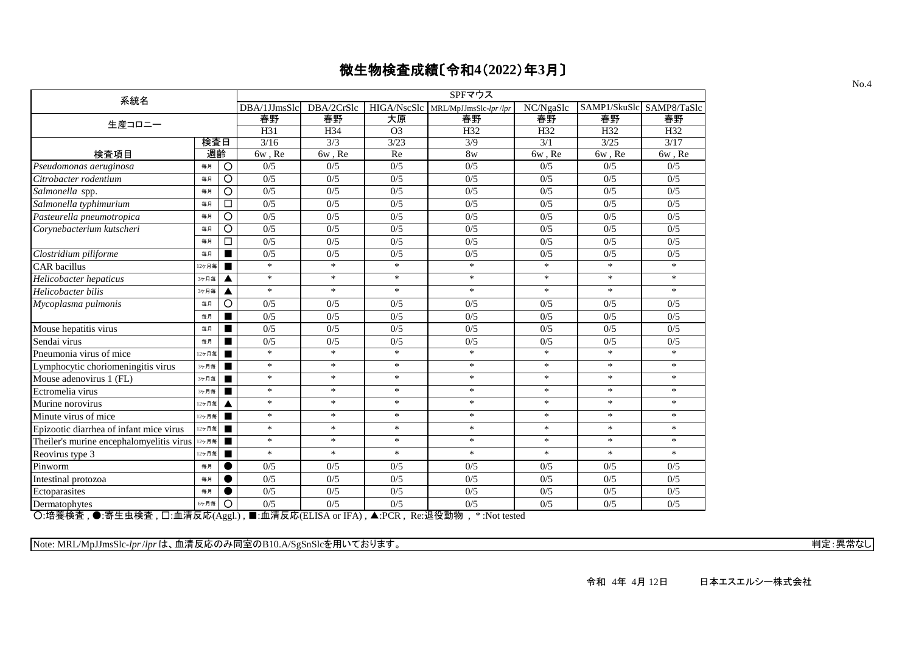| 系統名                                                                                                                                                                                                                                                                                                                                                                                                                        |       |                | SPFマウス       |            |                |                                   |           |                          |        |  |  |  |
|----------------------------------------------------------------------------------------------------------------------------------------------------------------------------------------------------------------------------------------------------------------------------------------------------------------------------------------------------------------------------------------------------------------------------|-------|----------------|--------------|------------|----------------|-----------------------------------|-----------|--------------------------|--------|--|--|--|
|                                                                                                                                                                                                                                                                                                                                                                                                                            |       |                | DBA/1JJmsSlc | DBA/2CrSlc |                | HIGA/NscSlc MRL/MpJJmsSlc-lpr/lpr | NC/NgaSlc | SAMP1/SkuSlc SAMP8/TaSlc |        |  |  |  |
| 生産コロニー                                                                                                                                                                                                                                                                                                                                                                                                                     |       |                | 春野           | 春野         | 大原             | 春野                                | 春野        | 春野                       | 春野     |  |  |  |
|                                                                                                                                                                                                                                                                                                                                                                                                                            |       |                | H31          | H34        | O <sub>3</sub> | H32                               | H32       | H32                      | H32    |  |  |  |
|                                                                                                                                                                                                                                                                                                                                                                                                                            | 検査日   |                | 3/16         | 3/3        | 3/23           | 3/9                               | 3/1       | 3/25                     | 3/17   |  |  |  |
| 検査項目                                                                                                                                                                                                                                                                                                                                                                                                                       | 週齡    |                | 6w, Re       | 6w, Re     | Re             | 8w                                | 6w, Re    | 6w, Re                   | 6w, Re |  |  |  |
| Pseudomonas aeruginosa                                                                                                                                                                                                                                                                                                                                                                                                     | 毎月    | $\circ$        | 0/5          | 0/5        | 0/5            | 0/5                               | 0/5       | 0/5                      | 0/5    |  |  |  |
| Citrobacter rodentium                                                                                                                                                                                                                                                                                                                                                                                                      | 毎月    | $\overline{O}$ | 0/5          | 0/5        | 0/5            | 0/5                               | 0/5       | 0/5                      | 0/5    |  |  |  |
| Salmonella spp.                                                                                                                                                                                                                                                                                                                                                                                                            | 毎月    | $\circ$        | 0/5          | 0/5        | 0/5            | 0/5                               | 0/5       | 0/5                      | 0/5    |  |  |  |
| Salmonella typhimurium                                                                                                                                                                                                                                                                                                                                                                                                     | 毎月    | $\Box$         | 0/5          | 0/5        | 0/5            | 0/5                               | 0/5       | 0/5                      | 0/5    |  |  |  |
| Pasteurella pneumotropica                                                                                                                                                                                                                                                                                                                                                                                                  | 毎月    | $\circ$        | 0/5          | 0/5        | 0/5            | 0/5                               | 0/5       | 0/5                      | 0/5    |  |  |  |
| Corynebacterium kutscheri                                                                                                                                                                                                                                                                                                                                                                                                  | 毎月    | $\circ$        | 0/5          | 0/5        | 0/5            | 0/5                               | 0/5       | 0/5                      | 0/5    |  |  |  |
|                                                                                                                                                                                                                                                                                                                                                                                                                            | 毎月    | $\Box$         | 0/5          | 0/5        | 0/5            | 0/5                               | 0/5       | 0/5                      | 0/5    |  |  |  |
| Clostridium piliforme                                                                                                                                                                                                                                                                                                                                                                                                      | 毎月    |                | 0/5          | 0/5        | 0/5            | 0/5                               | 0/5       | 0/5                      | 0/5    |  |  |  |
| <b>CAR</b> bacillus                                                                                                                                                                                                                                                                                                                                                                                                        | 12ヶ月毎 | ■              | $\ast$       | $\ast$     | $\ast$         | $\ast$                            | $\ast$    | $\ast$                   | $\ast$ |  |  |  |
| Helicobacter hepaticus                                                                                                                                                                                                                                                                                                                                                                                                     | 3ヶ月毎  |                | $\ast$       | $\ast$     | $\ast$         | $\ast$                            | $\ast$    | $\ast$                   | $\ast$ |  |  |  |
| Helicobacter bilis                                                                                                                                                                                                                                                                                                                                                                                                         | 3ヶ月毎  |                | $\ast$       | $\ast$     | $\ast$         | $*$                               | $\ast$    | $*$                      | $*$    |  |  |  |
| Mycoplasma pulmonis                                                                                                                                                                                                                                                                                                                                                                                                        | 毎月    | $\circ$        | 0/5          | 0/5        | 0/5            | 0/5                               | 0/5       | 0/5                      | 0/5    |  |  |  |
|                                                                                                                                                                                                                                                                                                                                                                                                                            | 毎月    | ۰              | 0/5          | 0/5        | 0/5            | 0/5                               | 0/5       | 0/5                      | 0/5    |  |  |  |
| Mouse hepatitis virus                                                                                                                                                                                                                                                                                                                                                                                                      | 毎月    | ■              | 0/5          | 0/5        | 0/5            | 0/5                               | 0/5       | 0/5                      | 0/5    |  |  |  |
| Sendai virus                                                                                                                                                                                                                                                                                                                                                                                                               | 毎月    | ш              | 0/5          | 0/5        | 0/5            | 0/5                               | 0/5       | 0/5                      | 0/5    |  |  |  |
| Pneumonia virus of mice                                                                                                                                                                                                                                                                                                                                                                                                    | 12ヶ月毎 | ■              | $\ast$       | $\ast$     | $\ast$         | $\ast$                            | $\ast$    | $\ast$                   | $\ast$ |  |  |  |
| Lymphocytic choriomeningitis virus                                                                                                                                                                                                                                                                                                                                                                                         | 3ヶ月毎  |                | $\ast$       | $\ast$     | $\ast$         | $\ast$                            | $\ast$    | $\ast$                   | $\ast$ |  |  |  |
| Mouse adenovirus 1 (FL)                                                                                                                                                                                                                                                                                                                                                                                                    | 3ヶ月毎  |                | $\ast$       | $\ast$     | $\ast$         | $\ast$                            | $\ast$    | $\ast$                   | $\ast$ |  |  |  |
| Ectromelia virus                                                                                                                                                                                                                                                                                                                                                                                                           | 3ヶ月毎  |                | $\ast$       | $\ast$     | $\ast$         | $\ast$                            | $\ast$    | $\ast$                   | $\ast$ |  |  |  |
| Murine norovirus                                                                                                                                                                                                                                                                                                                                                                                                           | 12ヶ月毎 |                | $\ast$       | $\ast$     | $\ast$         | $\ast$                            | $\ast$    | $\ast$                   | $\ast$ |  |  |  |
| Minute virus of mice                                                                                                                                                                                                                                                                                                                                                                                                       | 12ヶ月毎 |                | $\ast$       | $\ast$     | *              | *                                 | $\ast$    | $\ast$                   | $\ast$ |  |  |  |
| Epizootic diarrhea of infant mice virus                                                                                                                                                                                                                                                                                                                                                                                    | 12ヶ月毎 | $\blacksquare$ | $\ast$       | $\ast$     | $\ast$         | $*$                               | $\ast$    | $\ast$                   | $\ast$ |  |  |  |
| Theiler's murine encephalomyelitis virus                                                                                                                                                                                                                                                                                                                                                                                   | 12ヶ月毎 | $\blacksquare$ | $\ast$       | $\ast$     | $\ast$         | $\ast$                            | $\ast$    | $\ast$                   | $\ast$ |  |  |  |
| Reovirus type 3                                                                                                                                                                                                                                                                                                                                                                                                            | 12ヶ月毎 | п              | $\ast$       | $\ast$     | $\ast$         | $*$                               | $\ast$    | $\ast$                   | $\ast$ |  |  |  |
| Pinworm                                                                                                                                                                                                                                                                                                                                                                                                                    | 毎月    |                | 0/5          | 0/5        | 0/5            | 0/5                               | 0/5       | 0/5                      | 0/5    |  |  |  |
| Intestinal protozoa                                                                                                                                                                                                                                                                                                                                                                                                        | 毎月    |                | 0/5          | 0/5        | 0/5            | 0/5                               | 0/5       | 0/5                      | 0/5    |  |  |  |
| Ectoparasites                                                                                                                                                                                                                                                                                                                                                                                                              | 毎月    |                | 0/5          | 0/5        | 0/5            | 0/5                               | 0/5       | 0/5                      | 0/5    |  |  |  |
| Dermatophytes                                                                                                                                                                                                                                                                                                                                                                                                              | 6ヶ月毎  | $\circ$        | 0/5          | 0/5        | 0/5            | 0/5                               | 0/5       | 0/5                      | 0/5    |  |  |  |
| $\bigcap \{ \frac{1}{2}, \frac{1}{2}, \frac{1}{2}, \frac{1}{2}, \frac{1}{2}, \frac{1}{2}, \frac{1}{2}, \frac{1}{2}, \frac{1}{2}, \frac{1}{2}, \frac{1}{2}, \frac{1}{2}, \frac{1}{2}, \frac{1}{2}, \frac{1}{2}, \frac{1}{2}, \frac{1}{2}, \frac{1}{2}, \frac{1}{2}, \frac{1}{2}, \frac{1}{2}, \frac{1}{2}, \frac{1}{2}, \frac{1}{2}, \frac{1}{2}, \frac{1}{2}, \frac{1}{2}, \frac{1}{2}, \frac{1}{2}, \frac{1}{2}, \frac{1$ |       |                |              |            |                | $*$ $\cdot$ Mot tootad            |           |                          |        |  |  |  |

○:培養検査 , ●:寄生虫検査 , □:血清反応(Aggl.) , ■:血清反応(ELISA or IFA) , ▲:PCR , Re:退役動物 , \* :Not tested

Note: MRL/MpJJmsSlc-*lpr* /*lpr* は、血清反応のみ同室のB10.A/SgSnSlcを用いております。 インター・コンピューター インター・コンピューター データ・エム 判定: 異常なし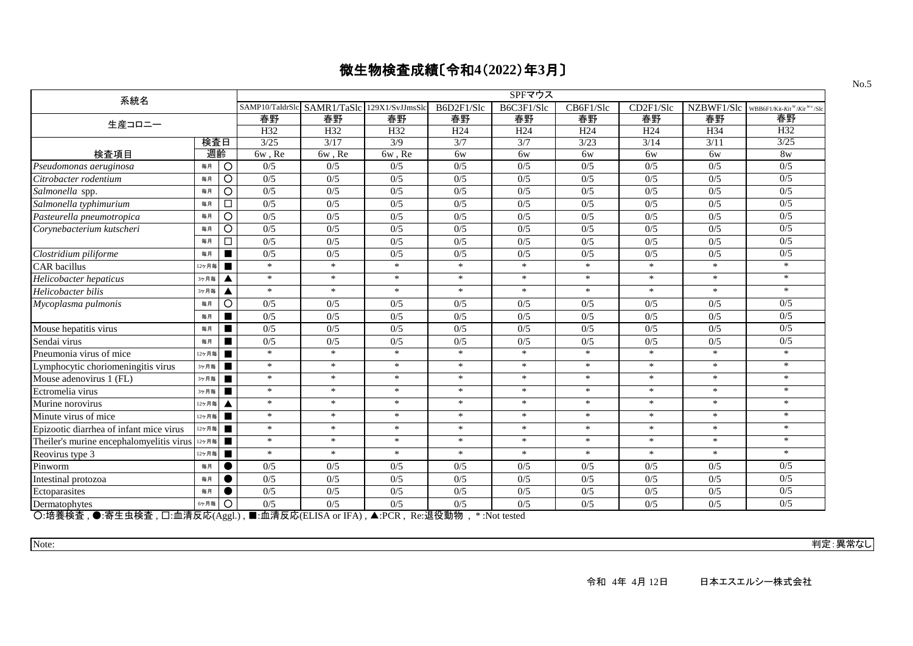| 系統名                                      |                         | SPFマウス |                                             |                 |                 |                 |                 |                 |            |                                                     |  |  |  |
|------------------------------------------|-------------------------|--------|---------------------------------------------|-----------------|-----------------|-----------------|-----------------|-----------------|------------|-----------------------------------------------------|--|--|--|
|                                          |                         |        | SAMP10/TaIdrSlc SAMR1/TaSlc 129X1/SvJJmsSlc |                 | B6D2F1/Slc      | B6C3F1/Slc      | CB6F1/Slc       | CD2F1/Slc       | NZBWF1/Slc | WBB6F1/Kit-Kit <sup>W</sup> /Kit <sup>W</sup> y/Slo |  |  |  |
| 生産コロニー                                   |                         | 春野     | 春野                                          | 春野              | 春野              | 春野              | 春野              | 春野              | 春野         | 春野                                                  |  |  |  |
|                                          |                         | H32    | H32                                         | H <sub>32</sub> | H <sub>24</sub> | H <sub>24</sub> | H <sub>24</sub> | H <sub>24</sub> | H34        | H32                                                 |  |  |  |
|                                          | 検査日                     | 3/25   | 3/17                                        | 3/9             | 3/7             | 3/7             | 3/23            | 3/14            | 3/11       | 3/25                                                |  |  |  |
| 検査項目                                     | 週齡                      | 6w, Re | 6w, Re                                      | 6w, Re          | 6w              | 6w              | 6w              | 6w              | 6w         | 8 <sub>w</sub>                                      |  |  |  |
| Pseudomonas aeruginosa                   | $\circ$<br>毎月           | 0/5    | 0/5                                         | 0/5             | 0/5             | 0/5             | 0/5             | 0/5             | 0/5        | 0/5                                                 |  |  |  |
| Citrobacter rodentium                    | $\circ$<br>毎月           | 0/5    | 0/5                                         | 0/5             | 0/5             | 0/5             | 0/5             | 0/5             | 0/5        | 0/5                                                 |  |  |  |
| Salmonella spp.                          | O<br>毎月                 | 0/5    | 0/5                                         | 0/5             | 0/5             | 0/5             | 0/5             | 0/5             | 0/5        | 0/5                                                 |  |  |  |
| Salmonella typhimurium                   | $\Box$<br>毎月            | 0/5    | 0/5                                         | 0/5             | 0/5             | 0/5             | 0/5             | 0/5             | 0/5        | 0/5                                                 |  |  |  |
| Pasteurella pneumotropica                | O<br>毎月                 | 0/5    | 0/5                                         | 0/5             | 0/5             | 0/5             | 0/5             | 0/5             | 0/5        | 0/5                                                 |  |  |  |
| Corynebacterium kutscheri                | $\circ$<br>毎月           | 0/5    | 0/5                                         | 0/5             | 0/5             | 0/5             | 0/5             | 0/5             | 0/5        | 0/5                                                 |  |  |  |
|                                          | $\Box$<br>毎月            | 0/5    | 0/5                                         | 0/5             | 0/5             | 0/5             | 0/5             | 0/5             | 0/5        | 0/5                                                 |  |  |  |
| Clostridium piliforme                    | $\blacksquare$<br>毎月    | 0/5    | 0/5                                         | 0/5             | 0/5             | 0/5             | 0/5             | 0/5             | 0/5        | 0/5                                                 |  |  |  |
| <b>CAR</b> bacillus                      | 12ヶ月毎<br>П              | $\ast$ | $\ast$                                      | $\ast$          | $\ast$          | $\ast$          | $\ast$          | $\ast$          | $\ast$     | $*$                                                 |  |  |  |
| Helicobacter hepaticus                   | 3ヶ月毎<br>▲               | $\ast$ | $\ast$                                      | $\ast$          | $\ast$          | $\ast$          | $\ast$          | $\ast$          | $\ast$     | $\ast$                                              |  |  |  |
| Helicobacter bilis                       | 3ヶ月毎<br>▲               | $\ast$ | $\ast$                                      | $\ast$          | $\ast$          | $\ast$          | $\ast$          | $\ast$          | $\ast$     | $\ast$                                              |  |  |  |
| Mycoplasma pulmonis                      | $\circ$<br>毎月           | 0/5    | 0/5                                         | 0/5             | 0/5             | 0/5             | 0/5             | 0/5             | 0/5        | 0/5                                                 |  |  |  |
|                                          | 毎月<br>п                 | 0/5    | 0/5                                         | 0/5             | 0/5             | 0/5             | 0/5             | 0/5             | 0/5        | 0/5                                                 |  |  |  |
| Mouse hepatitis virus                    | 毎月<br>П                 | 0/5    | 0/5                                         | 0/5             | 0/5             | 0/5             | 0/5             | 0/5             | 0/5        | 0/5                                                 |  |  |  |
| Sendai virus                             | п<br>毎月                 | 0/5    | 0/5                                         | 0/5             | 0/5             | 0/5             | 0/5             | 0/5             | 0/5        | 0/5                                                 |  |  |  |
| Pneumonia virus of mice                  | п<br>12ヶ月毎              | $\ast$ | $\ast$                                      | $\ast$          | $\ast$          | $\ast$          | $\ast$          | $\ast$          | $\ast$     | $\ast$                                              |  |  |  |
| Lymphocytic choriomeningitis virus       | $\blacksquare$<br>3ヶ月毎  | $\ast$ | $\ast$                                      | $\ast$          | $\ast$          | $\ast$          | $\ast$          | $\ast$          | $\ast$     | $\ast$                                              |  |  |  |
| Mouse adenovirus 1 (FL)                  | 3ヶ月毎<br>п               | $\ast$ | $\ast$                                      | $\ast$          | $\ast$          | $\ast$          | $\ast$          | $\ast$          | $\ast$     | $*$                                                 |  |  |  |
| Ectromelia virus                         | 3ヶ月毎<br>$\blacksquare$  | $\ast$ | $\ast$                                      | $\ast$          | $\ast$          | $\ast$          | $\ast$          | $\ast$          | $\ast$     | $*$                                                 |  |  |  |
| Murine norovirus                         | 12ヶ月毎<br>▲              | $\ast$ | $\ast$                                      | $\ast$          | $\ast$          | $\ast$          | $\ast$          | $\ast$          | $\ast$     | $\ast$                                              |  |  |  |
| Minute virus of mice                     | 12ヶ月毎<br>$\blacksquare$ | $\ast$ | $\ast$                                      | $\ast$          | $\ast$          | $\ast$          | $\ast$          | $\ast$          | $\ast$     | $\ast$                                              |  |  |  |
| Epizootic diarrhea of infant mice virus  | $\blacksquare$<br>12ヶ月毎 | $\ast$ | $\ast$                                      | $\ast$          | $\ast$          | $\ast$          | $\ast$          | $\ast$          | $\ast$     | $\ast$                                              |  |  |  |
| Theiler's murine encephalomyelitis virus | 12ヶ月毎<br>п              | $\ast$ | $\ast$                                      | $\ast$          | $\ast$          | $\ast$          | $\ast$          | $\ast$          | $\ast$     | $*$                                                 |  |  |  |
| Reovirus type 3                          | 12ヶ月毎<br>п              | $\ast$ | $\ast$                                      | $\ast$          | $\ast$          | $\ast$          | $\ast$          | $\ast$          | $\ast$     | $\ast$                                              |  |  |  |
| Pinworm                                  | 毎月<br>$\bullet$         | 0/5    | 0/5                                         | 0/5             | 0/5             | 0/5             | 0/5             | 0/5             | 0/5        | 0/5                                                 |  |  |  |
| Intestinal protozoa                      | $\bullet$<br>毎月         | 0/5    | 0/5                                         | 0/5             | 0/5             | 0/5             | 0/5             | 0/5             | 0/5        | 0/5                                                 |  |  |  |
| Ectoparasites                            | 毎月                      | 0/5    | 0/5                                         | 0/5             | 0/5             | 0/5             | 0/5             | 0/5             | 0/5        | 0/5                                                 |  |  |  |
| Dermatophytes                            | O<br>6ヶ月毎               | 0/5    | 0/5                                         | 0/5             | 0/5             | 0/5             | 0/5             | 0/5             | 0/5        | 0/5                                                 |  |  |  |

○:培養検査 , ●:寄生虫検査 , □:血清反応(Aggl.) , ■:血清反応(ELISA or IFA) , ▲:PCR , Re:退役動物 , \* :Not tested

Note: 判定:異常なし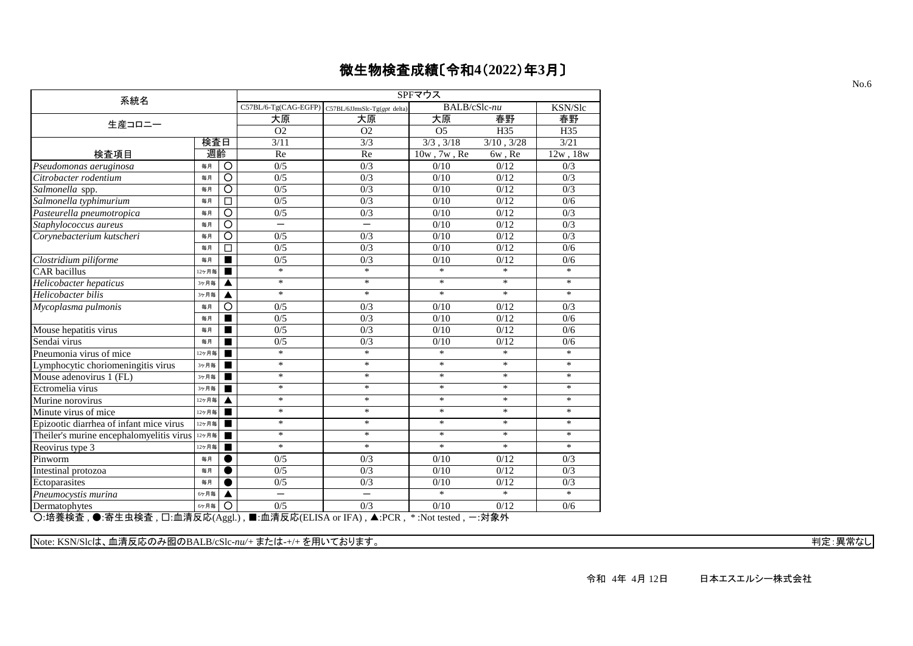| 系統名                                      |       |                    | SPFマウス                   |                                                   |                   |                 |                  |  |  |  |  |  |  |
|------------------------------------------|-------|--------------------|--------------------------|---------------------------------------------------|-------------------|-----------------|------------------|--|--|--|--|--|--|
|                                          |       |                    |                          | C57BL/6-Tg(CAG-EGFP) C57BL/6JJmsSlc-Tg(gpt delta) | BALB/cSlc-nu      |                 | KSN/Slc          |  |  |  |  |  |  |
| 生産コロニー                                   |       |                    | 大原                       | 大原                                                | 大原                | 春野              | 春野               |  |  |  |  |  |  |
|                                          |       |                    | O <sub>2</sub>           | O <sub>2</sub>                                    | O <sub>5</sub>    | H <sub>35</sub> | H35              |  |  |  |  |  |  |
|                                          | 検査日   |                    | 3/11                     | $\overline{3/3}$                                  | 3/3, 3/18         | 3/10, 3/28      | 3/21             |  |  |  |  |  |  |
| 検査項目                                     | 週齡    |                    | Re                       | Re                                                | $10w$ , $7w$ , Re | 6w, Re          | 12w, 18w         |  |  |  |  |  |  |
| Pseudomonas aeruginosa                   | 毎月    | $\circ$            | 0/5                      | 0/3                                               | 0/10              | 0/12            | 0/3              |  |  |  |  |  |  |
| Citrobacter rodentium                    | 毎月    | $\overline{\circ}$ | 0/5                      | $\overline{0/3}$                                  | 0/10              | 0/12            | 0/3              |  |  |  |  |  |  |
| Salmonella spp.                          | 毎月    | $\circ$            | 0/5                      | 0/3                                               | 0/10              | 0/12            | 0/3              |  |  |  |  |  |  |
| Salmonella typhimurium                   | 毎月    | $\Box$             | 0/5                      | 0/3                                               | 0/10              | 0/12            | 0/6              |  |  |  |  |  |  |
| Pasteurella pneumotropica                | 毎月    | $\overline{O}$     | 0/5                      | 0/3                                               | 0/10              | 0/12            | 0/3              |  |  |  |  |  |  |
| Staphylococcus aureus                    | 毎月    | $\overline{\circ}$ | $\overline{\phantom{0}}$ |                                                   | 0/10              | 0/12            | 0/3              |  |  |  |  |  |  |
| Corynebacterium kutscheri                | 毎月    | $\overline{\circ}$ | 0/5                      | 0/3                                               | 0/10              | 0/12            | 0/3              |  |  |  |  |  |  |
|                                          | 毎月    | $\Box$             | 0/5                      | $\overline{0/3}$                                  | 0/10              | 0/12            | 0/6              |  |  |  |  |  |  |
| Clostridium piliforme                    | 毎月    |                    | 0/5                      | 0/3                                               | 0/10              | 0/12            | 0/6              |  |  |  |  |  |  |
| <b>CAR</b> bacillus                      | 12ヶ月毎 |                    | $\ast$                   | $\ast$                                            | $\ast$            | $*$             | $\ast$           |  |  |  |  |  |  |
| Helicobacter hepaticus                   | 3ヶ月毎  | ▲                  | $\ast$                   | $\ast$                                            | $\ast$            | $\ast$          | $\ast$           |  |  |  |  |  |  |
| Helicobacter bilis                       | 3ヶ月毎  | ▲                  | $\ast$                   | $\ast$                                            | $*$               | $\ast$          | $\ast$           |  |  |  |  |  |  |
| Mycoplasma pulmonis                      | 毎月    | $\overline{\circ}$ | 0/5                      | $\overline{0/3}$                                  | 0/10              | 0/12            | $\overline{0/3}$ |  |  |  |  |  |  |
|                                          | 毎月    |                    | 0/5                      | 0/3                                               | 0/10              | 0/12            | 0/6              |  |  |  |  |  |  |
| Mouse hepatitis virus                    | 毎月    | ■                  | 0/5                      | 0/3                                               | 0/10              | 0/12            | 0/6              |  |  |  |  |  |  |
| Sendai virus                             | 毎月    |                    | 0/5                      | 0/3                                               | 0/10              | 0/12            | 0/6              |  |  |  |  |  |  |
| Pneumonia virus of mice                  | 12ヶ月毎 |                    | $\ast$                   | $\ast$                                            | $\ast$            | $*$             | $\ast$           |  |  |  |  |  |  |
| Lymphocytic choriomeningitis virus       | 3ヶ月毎  |                    | $\ast$                   | $\ast$                                            | $\ast$            | $\ast$          | $\ast$           |  |  |  |  |  |  |
| Mouse adenovirus 1 (FL)                  | 3ヶ月毎  |                    | $\ast$                   | $\ast$                                            | $\ast$            | $\ast$          | $*$              |  |  |  |  |  |  |
| Ectromelia virus                         | 3ヶ月毎  |                    | $\ast$                   | $\ast$                                            | $\ast$            | $\ast$          | $\ast$           |  |  |  |  |  |  |
| Murine norovirus                         | 12ヶ月毎 |                    | $\ast$                   | $\ast$                                            | $\ast$            | $\ast$          | $\ast$           |  |  |  |  |  |  |
| Minute virus of mice                     | 12ヶ月毎 |                    | $\ast$                   | $\ast$                                            | $\ast$            | $\ast$          | $\ast$           |  |  |  |  |  |  |
| Epizootic diarrhea of infant mice virus  | 12ヶ月毎 |                    | $\ast$                   | $\ast$                                            | $\ast$            | $\ast$          | $\ast$           |  |  |  |  |  |  |
| Theiler's murine encephalomyelitis virus | 12ヶ月毎 |                    | $\ast$                   | $\ast$                                            | $\ast$            | $\ast$          | $\ast$           |  |  |  |  |  |  |
| Reovirus type 3                          | 12ヶ月毎 |                    | $\ast$                   | $\ast$                                            | $\ast$            | $\ast$          | $\ast$           |  |  |  |  |  |  |
| Pinworm                                  | 毎月    |                    | 0/5                      | 0/3                                               | 0/10              | 0/12            | 0/3              |  |  |  |  |  |  |
| Intestinal protozoa                      | 毎月    |                    | 0/5                      | 0/3                                               | 0/10              | 0/12            | 0/3              |  |  |  |  |  |  |
| Ectoparasites                            | 毎月    |                    | 0/5                      | 0/3                                               | 0/10              | 0/12            | 0/3              |  |  |  |  |  |  |
| Pneumocystis murina                      | 6ヶ月毎  | ▲                  |                          |                                                   | $\ast$            | $*$             | $\ast$           |  |  |  |  |  |  |
| Dermatophytes                            | 6ヶ月毎  | $\Omega$           | 0/5                      | 0/3                                               | 0/10              | 0/12            | 0/6              |  |  |  |  |  |  |

Note: KSN/Slcは、血清反応のみ囮のBALB/cSlc-nu/+ または-+/+ を用いております。 インター・ファイン インター・ファイン インター・コンプレート 判定: 異常なし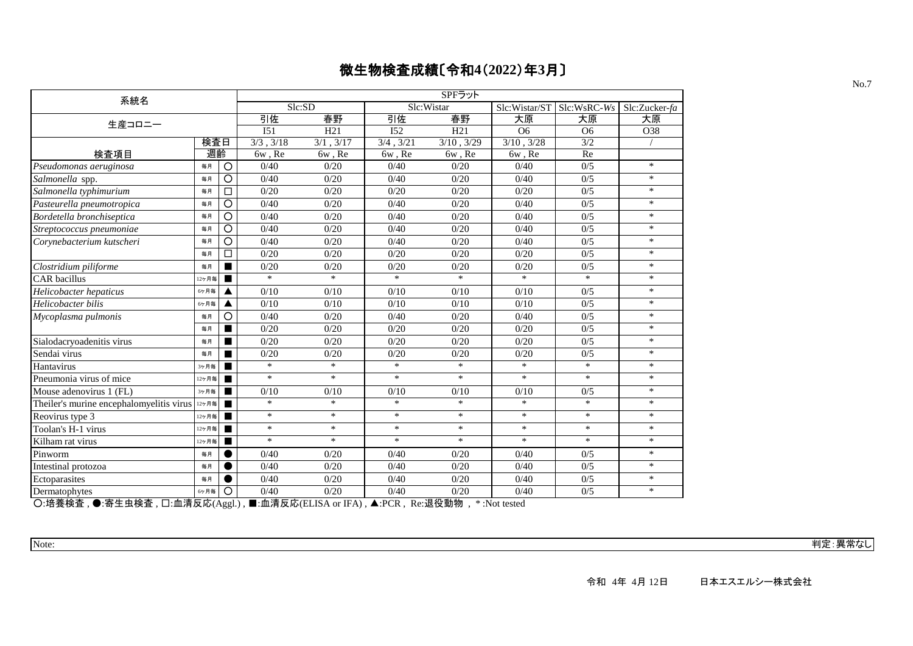| 系統名                                                        |       |                |                 |             |                            | SPFラット     |                                     |                |               |
|------------------------------------------------------------|-------|----------------|-----------------|-------------|----------------------------|------------|-------------------------------------|----------------|---------------|
|                                                            |       |                |                 | Slc:SD      |                            | Slc:Wistar | Slc:Wistar/ST                       | Slc:WsRC-Ws    | Slc:Zucker-fa |
| 生産コロニー                                                     |       |                | 引佐              | 春野          | 引佐                         | 春野         | 大原                                  | 大原             | 大原            |
|                                                            |       |                | I <sub>51</sub> | H21         | I52                        | H21        | O <sub>6</sub>                      | O <sub>6</sub> | O38           |
|                                                            | 検査日   |                | 3/3, 3/18       | 3/1, 3/17   | $\frac{1}{3/4}$ , 3/21     | 3/10, 3/29 | 3/10, 3/28                          | 3/2            |               |
| 検査項目                                                       | 週齡    |                | 6w, Re          | $6w$ , $Re$ | 6w, Re                     | 6w, Re     | 6w, Re                              | Re             |               |
| Pseudomonas aeruginosa                                     | 毎月    | $\circ$        | 0/40            | 0/20        | 0/40                       | 0/20       | 0/40                                | 0/5            | $\ast$        |
| Salmonella spp.                                            | 毎月    | O              | 0/40            | 0/20        | 0/40                       | 0/20       | 0/40                                | 0/5            | $*$           |
| Salmonella typhimurium                                     | 毎月    | □              | 0/20            | 0/20        | 0/20                       | 0/20       | 0/20                                | 0/5            | $*$           |
| Pasteurella pneumotropica                                  | 毎月    | $\circ$        | 0/40            | 0/20        | 0/40                       | 0/20       | 0/40                                | 0/5            | $*$           |
| Bordetella bronchiseptica                                  | 毎月    | O              | 0/40            | 0/20        | 0/40                       | 0/20       | 0/40                                | 0/5            | $\ast$        |
| Streptococcus pneumoniae                                   | 毎月    | O              | 0/40            | 0/20        | 0/40                       | 0/20       | 0/40                                | 0/5            | $\ast$        |
| Corynebacterium kutscheri                                  | 毎月    | O              | 0/40            | 0/20        | 0/40                       | 0/20       | 0/40                                | 0/5            | $\ast$        |
|                                                            | 毎月    | □              | 0/20            | 0/20        | 0/20                       | 0/20       | 0/20                                | 0/5            | $\ast$        |
| Clostridium piliforme                                      | 毎月    |                | 0/20            | 0/20        | 0/20                       | 0/20       | 0/20                                | 0/5            | $\ast$        |
| CAR bacillus                                               | 12ヶ月毎 |                | $\ast$          | $\ast$      | $\ast$                     | $\ast$     | $\ast$                              | $\ast$         | $\ast$        |
| Helicobacter hepaticus                                     | 6ヶ月毎  |                | 0/10            | 0/10        | 0/10                       | 0/10       | 0/10                                | 0/5            | $*$           |
| Helicobacter bilis                                         | 6ヶ月毎  |                | 0/10            | 0/10        | 0/10                       | 0/10       | 0/10                                | 0/5            | $\ast$        |
| Mycoplasma pulmonis                                        | 毎月    | О              | 0/40            | 0/20        | 0/40                       | 0/20       | 0/40                                | 0/5            | $\ast$        |
|                                                            | 毎月    |                | 0/20            | 0/20        | 0/20                       | 0/20       | 0/20                                | 0/5            | $\ast$        |
| Sialodacryoadenitis virus                                  | 毎月    |                | 0/20            | 0/20        | 0/20                       | 0/20       | 0/20                                | 0/5            | $*$           |
| Sendai virus                                               | 毎月    |                | 0/20            | 0/20        | 0/20                       | 0/20       | 0/20                                | 0/5            | $\ast$        |
| Hantavirus                                                 | 3ヶ月毎  |                | $\ast$          | $\ast$      | $\ast$                     | $\ast$     | $\ast$                              | $\ast$         | $\ast$        |
| Pneumonia virus of mice                                    | 12ヶ月毎 |                | $\ast$          | $\ast$      | $\ast$                     | $\ast$     | $*$                                 | $\ast$         | $*$           |
| Mouse adenovirus 1 (FL)                                    | 3ヶ月毎  |                | 0/10            | 0/10        | 0/10                       | 0/10       | 0/10                                | 0/5            | $\ast$        |
| Theiler's murine encephalomyelitis virus $12578$           |       |                | $\ast$          | $\ast$      | $\ast$                     | $\ast$     | $\ast$                              | $\ast$         | $\ast$        |
| Reovirus type 3                                            | 12ヶ月毎 |                | $\ast$          | $\ast$      | $\ast$                     | $\ast$     | $\ast$                              | $\ast$         | $*$           |
| Toolan's H-1 virus                                         | 12ヶ月毎 |                | $\ast$          | $\ast$      | $\ast$                     | $\ast$     | $*$                                 | $\ast$         | $\ast$        |
| Kilham rat virus                                           | 12ヶ月毎 |                | $\ast$          | $\ast$      | $\ast$                     | $\ast$     | $\ast$                              | $\ast$         | $\ast$        |
| Pinworm                                                    | 毎月    |                | 0/40            | 0/20        | 0/40                       | 0/20       | 0/40                                | 0/5            | $\ast$        |
| Intestinal protozoa                                        | 毎月    |                | 0/40            | 0/20        | 0/40                       | 0/20       | 0/40                                | 0/5            | $*$           |
| Ectoparasites                                              | 毎月    |                | 0/40            | 0/20        | 0/40                       | 0/20       | 0/40                                | 0/5            | $\ast$        |
| Dermatophytes                                              | 6ヶ月毎  | O              | 0/40            | 0/20        | 0/40                       | 0/20       | 0/40                                | 0/5            | $\ast$        |
| ○ #差於木<br>□ 而注口责 △▲<br>$\bullet$ $\pm$ + + $\star$ $\star$ |       | 1 <sub>2</sub> | ■ 责注□责∠□□△      | TTA         | $\sqrt{2}$<br>$\mathbf{D}$ | "日 幻 手 此一  | $\mathbf{v}$ <b>NT</b> $\mathbf{v}$ |                |               |

○:培養検査 , ●:寄生虫検査 , □:血清反応(Aggl.) , ■:血清反応(ELISA or IFA) , ▲:PCR , Re:退役動物 , \* :Not tested

Note: 判定:異常なし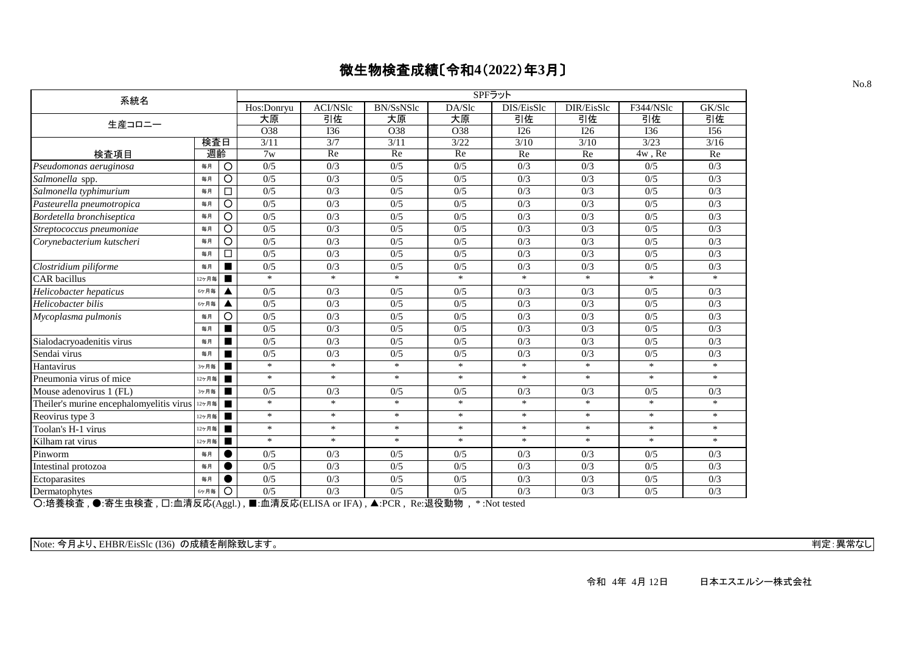| 系統名                                                                                                                                                                                                                                                                                                                   |                |                   |                   |                    |                   | SPFラット                             |            |            |            |        |
|-----------------------------------------------------------------------------------------------------------------------------------------------------------------------------------------------------------------------------------------------------------------------------------------------------------------------|----------------|-------------------|-------------------|--------------------|-------------------|------------------------------------|------------|------------|------------|--------|
|                                                                                                                                                                                                                                                                                                                       |                |                   | Hos:Donryu        | <b>ACI/NSlc</b>    | BN/SsNSlc         | DA/Slc                             | DIS/EisSlc | DIR/EisSlc | F344/NSlc  | GK/Slc |
| 生産コロニー                                                                                                                                                                                                                                                                                                                |                |                   | 大原                | 引佐                 | 大原                | 大原                                 | 引佐         | 引佐         | 引佐         | 引佐     |
|                                                                                                                                                                                                                                                                                                                       |                |                   | O38               | I36                | O38               | O38                                | I26        | I26        | <b>I36</b> | I56    |
|                                                                                                                                                                                                                                                                                                                       | 検査日            |                   | 3/11              | 3/7                | 3/11              | 3/22                               | 3/10       | 3/10       | 3/23       | 3/16   |
| 検査項目                                                                                                                                                                                                                                                                                                                  | 週齡             |                   | 7w                | Re                 | Re                | Re                                 | Re         | Re         | 4w, Re     | Re     |
| Pseudomonas aeruginosa                                                                                                                                                                                                                                                                                                | 毎月             | $\circ$           | 0/5               | 0/3                | 0/5               | 0/5                                | 0/3        | 0/3        | 0/5        | 0/3    |
| Salmonella spp.                                                                                                                                                                                                                                                                                                       | 毎月             | $\circ$           | 0/5               | 0/3                | 0/5               | 0/5                                | 0/3        | 0/3        | 0/5        | 0/3    |
| Salmonella typhimurium                                                                                                                                                                                                                                                                                                | 毎月             | □                 | 0/5               | 0/3                | 0/5               | 0/5                                | 0/3        | 0/3        | 0/5        | 0/3    |
| Pasteurella pneumotropica                                                                                                                                                                                                                                                                                             | 毎月             | $\circ$           | 0/5               | 0/3                | 0/5               | 0/5                                | 0/3        | 0/3        | 0/5        | 0/3    |
| Bordetella bronchiseptica                                                                                                                                                                                                                                                                                             | 毎月             | O                 | 0/5               | 0/3                | 0/5               | 0/5                                | 0/3        | 0/3        | 0/5        | 0/3    |
| Streptococcus pneumoniae                                                                                                                                                                                                                                                                                              | 毎月             | O                 | 0/5               | 0/3                | 0/5               | 0/5                                | 0/3        | 0/3        | 0/5        | 0/3    |
| Corynebacterium kutscheri                                                                                                                                                                                                                                                                                             | 毎月             | O                 | 0/5               | 0/3                | 0/5               | 0/5                                | 0/3        | 0/3        | 0/5        | 0/3    |
|                                                                                                                                                                                                                                                                                                                       | 毎月             | □                 | 0/5               | 0/3                | 0/5               | 0/5                                | 0/3        | 0/3        | 0/5        | 0/3    |
| Clostridium piliforme                                                                                                                                                                                                                                                                                                 | 毎月             |                   | 0/5               | 0/3                | 0/5               | 0/5                                | 0/3        | 0/3        | 0/5        | 0/3    |
| <b>CAR</b> bacillus                                                                                                                                                                                                                                                                                                   | 12ヶ月毎          |                   | $\ast$            | $\ast$             | $\ast$            | $\ast$                             | $\ast$     | $\ast$     | $\ast$     | $\ast$ |
| Helicobacter hepaticus                                                                                                                                                                                                                                                                                                | 6ヶ月毎           | ▲                 | 0/5               | 0/3                | 0/5               | 0/5                                | 0/3        | 0/3        | 0/5        | 0/3    |
| Helicobacter bilis                                                                                                                                                                                                                                                                                                    | 6ヶ月毎           |                   | 0/5               | 0/3                | 0/5               | 0/5                                | 0/3        | 0/3        | 0/5        | 0/3    |
| Mycoplasma pulmonis                                                                                                                                                                                                                                                                                                   | 毎月             | O                 | 0/5               | 0/3                | 0/5               | 0/5                                | 0/3        | 0/3        | 0/5        | 0/3    |
|                                                                                                                                                                                                                                                                                                                       | 毎月             |                   | 0/5               | 0/3                | 0/5               | 0/5                                | 0/3        | 0/3        | 0/5        | 0/3    |
| Sialodacryoadenitis virus                                                                                                                                                                                                                                                                                             | 毎月             |                   | 0/5               | 0/3                | 0/5               | 0/5                                | 0/3        | 0/3        | 0/5        | 0/3    |
| Sendai virus                                                                                                                                                                                                                                                                                                          | 毎月             |                   | 0/5               | 0/3                | 0/5               | 0/5                                | 0/3        | 0/3        | 0/5        | 0/3    |
| Hantavirus                                                                                                                                                                                                                                                                                                            | 3ヶ月毎           |                   | $\ast$            | $\ast$             | $\ast$            | $\ast$                             | $\ast$     | $\ast$     | $\ast$     | $\ast$ |
| Pneumonia virus of mice                                                                                                                                                                                                                                                                                               | 2ヶ月毎           | п                 | $\ast$            | $\ast$             | $\ast$            | $\ast$                             | $\ast$     | $\ast$     | $\ast$     | $\ast$ |
| Mouse adenovirus 1 (FL)                                                                                                                                                                                                                                                                                               | 3ヶ月毎           | п                 | 0/5               | 0/3                | 0/5               | 0/5                                | 0/3        | 0/3        | 0/5        | 0/3    |
| Theiler's murine encephalomyelitis virus                                                                                                                                                                                                                                                                              | 12ヶ月毎          | п                 | $\ast$            | $\ast$             | $\ast$            | $\ast$                             | $\ast$     | $\ast$     | $\ast$     | $\ast$ |
| Reovirus type 3                                                                                                                                                                                                                                                                                                       | 12ヶ月毎          | $\blacksquare$    | $\ast$            | $\ast$             | $\ast$            | $\ast$                             | $\ast$     | $\ast$     | $\ast$     | $\ast$ |
| Toolan's H-1 virus                                                                                                                                                                                                                                                                                                    | 12ヶ月毎          | п                 | $\ast$            | $\ast$             | $\ast$            | $\ast$                             | $\ast$     | $\ast$     | $\ast$     | $\ast$ |
| Kilham rat virus                                                                                                                                                                                                                                                                                                      | 12ヶ月毎          | $\blacksquare$    | $\ast$            | $\ast$             | $\ast$            | $\ast$                             | $\ast$     | $\ast$     | $\ast$     | $\ast$ |
| Pinworm                                                                                                                                                                                                                                                                                                               | 毎月             |                   | 0/5               | 0/3                | 0/5               | 0/5                                | 0/3        | 0/3        | 0/5        | 0/3    |
| Intestinal protozoa                                                                                                                                                                                                                                                                                                   | 毎月             |                   | 0/5               | 0/3                | 0/5               | 0/5                                | 0/3        | 0/3        | 0/5        | 0/3    |
| Ectoparasites                                                                                                                                                                                                                                                                                                         | 毎月             |                   | 0/5               | 0/3                | 0/5               | 0/5                                | 0/3        | 0/3        | 0/5        | 0/3    |
| Dermatophytes<br>$Q_{\text{H}}$ # $\neq$ + $\land$ + $\neq$ + $\land$ + $\land$ + $\land$ + $\land$ + $\land$ + $\land$ + $\land$ + $\land$ + $\land$ + $\land$ + $\land$ + $\land$ + $\land$ + $\land$ + $\land$ + $\land$ + $\land$ + $\land$ + $\land$ + $\land$ + $\land$ + $\land$ + $\land$ + $\land$ + $\land$ | 6ヶ月毎<br>高洼口虎(A | O<br>$\mathbf{1}$ | 0/5<br>■ 责注□责□□□▲ | 0/3<br><b>TEAN</b> | 0/5<br>$\sqrt{2}$ | 0/5<br>D `日仉手Mm<br>$4.37 \times 1$ | 0/3        | 0/3        | 0/5        | 0/3    |

○:培養検査 , ●:寄生虫検査 , □:血清反応(Aggl.) , ■:血清反応(ELISA or IFA) , ▲:PCR , Re:退役動物 , \* :Not tested

Note: 今月より、EHBR/EisSlc (I36) の成績を削除致します。 オンプレント アンプレーション こうしょう こうしょう こうしょう こうしょう 判定: 異常なし

No.8

令和 4年 4月 12日 日本エスエルシー株式会社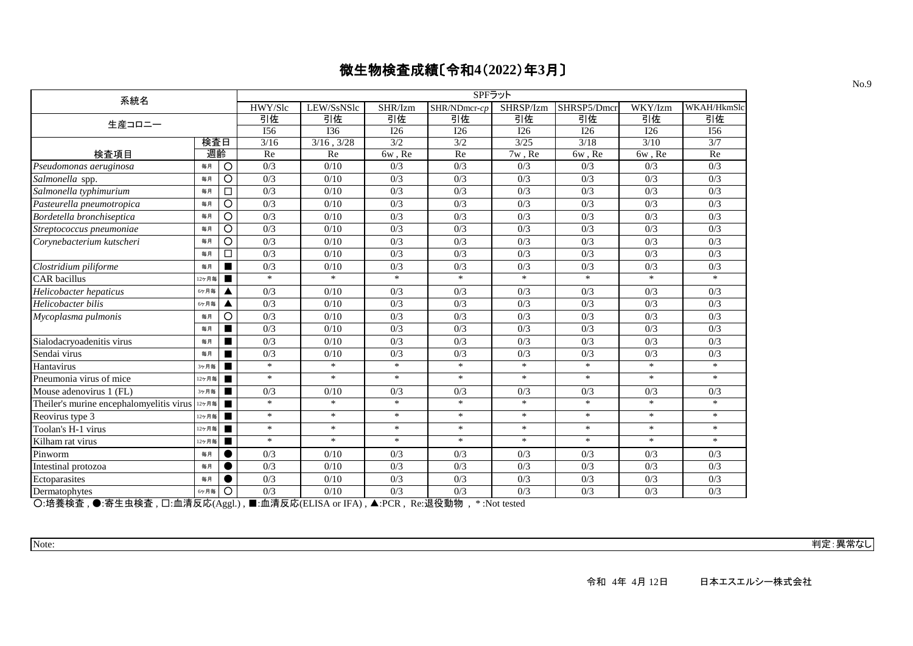| 系統名                                      |       |                |         |                 |                                      | SPFラット           |           |             |         |             |
|------------------------------------------|-------|----------------|---------|-----------------|--------------------------------------|------------------|-----------|-------------|---------|-------------|
|                                          |       |                | HWY/Slc | LEW/SsNSlc      | SHR/Izm                              | SHR/NDmcr-cp     | SHRSP/Izm | SHRSP5/Dmct | WKY/Izm | WKAH/HkmSlc |
| 生産コロニー                                   |       |                | 引佐      | 引佐              | 引佐                                   | 引佐               | 引佐        | 引佐          | 引佐      | 引佐          |
|                                          |       |                | I56     | I36             | I26                                  | I26              | I26       | I26         | I26     | I56         |
|                                          | 検査日   |                | 3/16    | $3/16$ , $3/28$ | 3/2                                  | 3/2              | 3/25      | 3/18        | 3/10    | 3/7         |
| 検査項目                                     | 週齡    |                | Re      | Re              | 6w, Re                               | Re               | 7w, Re    | $6w$ , Re   | 6w, Re  | Re          |
| Pseudomonas aeruginosa                   | 毎月    | O              | 0/3     | 0/10            | 0/3                                  | 0/3              | 0/3       | 0/3         | 0/3     | 0/3         |
| Salmonella spp.                          | 毎月    | $\circ$        | 0/3     | 0/10            | 0/3                                  | 0/3              | 0/3       | 0/3         | 0/3     | 0/3         |
| Salmonella typhimurium                   | 毎月    | □              | 0/3     | 0/10            | 0/3                                  | 0/3              | 0/3       | 0/3         | 0/3     | 0/3         |
| Pasteurella pneumotropica                | 毎月    | O              | 0/3     | 0/10            | 0/3                                  | 0/3              | 0/3       | 0/3         | 0/3     | 0/3         |
| Bordetella bronchiseptica                | 毎月    | O              | 0/3     | 0/10            | 0/3                                  | 0/3              | 0/3       | 0/3         | 0/3     | 0/3         |
| Streptococcus pneumoniae                 | 毎月    | O              | 0/3     | 0/10            | 0/3                                  | 0/3              | 0/3       | 0/3         | 0/3     | 0/3         |
| Corynebacterium kutscheri                | 毎月    | O              | 0/3     | 0/10            | 0/3                                  | 0/3              | 0/3       | 0/3         | 0/3     | 0/3         |
|                                          | 毎月    | □              | 0/3     | 0/10            | 0/3                                  | 0/3              | 0/3       | 0/3         | 0/3     | 0/3         |
| Clostridium piliforme                    | 毎月    | п              | 0/3     | 0/10            | 0/3                                  | 0/3              | 0/3       | 0/3         | 0/3     | 0/3         |
| <b>CAR</b> bacillus                      | 12ヶ月毎 | п              | $\ast$  | $\ast$          | $\ast$                               | $\ast$           | $\ast$    | $\ast$      | $\ast$  | $\ast$      |
| Helicobacter hepaticus                   | 6ヶ月毎  | ◢              | 0/3     | 0/10            | 0/3                                  | 0/3              | 0/3       | 0/3         | 0/3     | 0/3         |
| Helicobacter bilis                       | 6ヶ月毎  |                | 0/3     | 0/10            | 0/3                                  | 0/3              | 0/3       | 0/3         | 0/3     | 0/3         |
| Mycoplasma pulmonis                      | 毎月    | O              | 0/3     | 0/10            | 0/3                                  | 0/3              | 0/3       | 0/3         | 0/3     | 0/3         |
|                                          | 毎月    | п              | 0/3     | 0/10            | 0/3                                  | 0/3              | 0/3       | 0/3         | 0/3     | 0/3         |
| Sialodacryoadenitis virus                | 毎月    | $\blacksquare$ | 0/3     | 0/10            | 0/3                                  | 0/3              | 0/3       | 0/3         | 0/3     | 0/3         |
| Sendai virus                             | 毎月    |                | 0/3     | 0/10            | 0/3                                  | 0/3              | 0/3       | 0/3         | 0/3     | 0/3         |
| Hantavirus                               | 3ヶ月毎  |                | $\ast$  | $\ast$          | $\ast$                               | $\ast$           | $\ast$    | $\ast$      | $\ast$  | $\ast$      |
| Pneumonia virus of mice                  | 12ヶ月毎 |                | $\ast$  | $\ast$          | $\ast$                               | $\ast$           | $\ast$    | $\ast$      | $\ast$  | $\ast$      |
| Mouse adenovirus 1 (FL)                  | 3ヶ月毎  | $\blacksquare$ | 0/3     | 0/10            | 0/3                                  | 0/3              | 0/3       | 0/3         | 0/3     | 0/3         |
| Theiler's murine encephalomyelitis virus | 12ヶ月毎 |                | $\ast$  | $\ast$          | $\ast$                               | $\ast$           | $\ast$    | $\ast$      | $\ast$  | $\ast$      |
| Reovirus type 3                          | 12ヶ月毎 | п              | $\ast$  | $\ast$          | $\ast$                               | $\ast$           | $\ast$    | $\ast$      | $\ast$  | $\ast$      |
| Toolan's H-1 virus                       | 12ヶ月毎 | $\blacksquare$ | $\ast$  | $\ast$          | $\ast$                               | $\ast$           | $\ast$    | $\ast$      | $\ast$  | $\ast$      |
| Kilham rat virus                         | 12ヶ月毎 | п              | $\ast$  | $\ast$          | $\ast$                               | $\ast$           | $\ast$    | $\ast$      | $\ast$  | $\ast$      |
| Pinworm                                  | 毎月    |                | 0/3     | 0/10            | 0/3                                  | 0/3              | 0/3       | 0/3         | 0/3     | 0/3         |
| Intestinal protozoa                      | 毎月    |                | 0/3     | 0/10            | 0/3                                  | 0/3              | 0/3       | 0/3         | 0/3     | 0/3         |
| Ectoparasites                            | 毎月    |                | 0/3     | 0/10            | 0/3                                  | 0/3              | 0/3       | 0/3         | 0/3     | 0/3         |
| Dermatophytes<br>------                  | 6ヶ月毎  | O              | 0/3     | 0/10            | 0/3<br>$\mathbf{r}$<br>$\lambda$ por | 0/3<br>トロスロンチエルト | 0/3       | 0/3         | 0/3     | 0/3         |

○:培養検査 , ●:寄生虫検査 , □:血清反応(Aggl.) , ■:血清反応(ELISA or IFA) , ▲:PCR , Re:退役動物 , \* :Not tested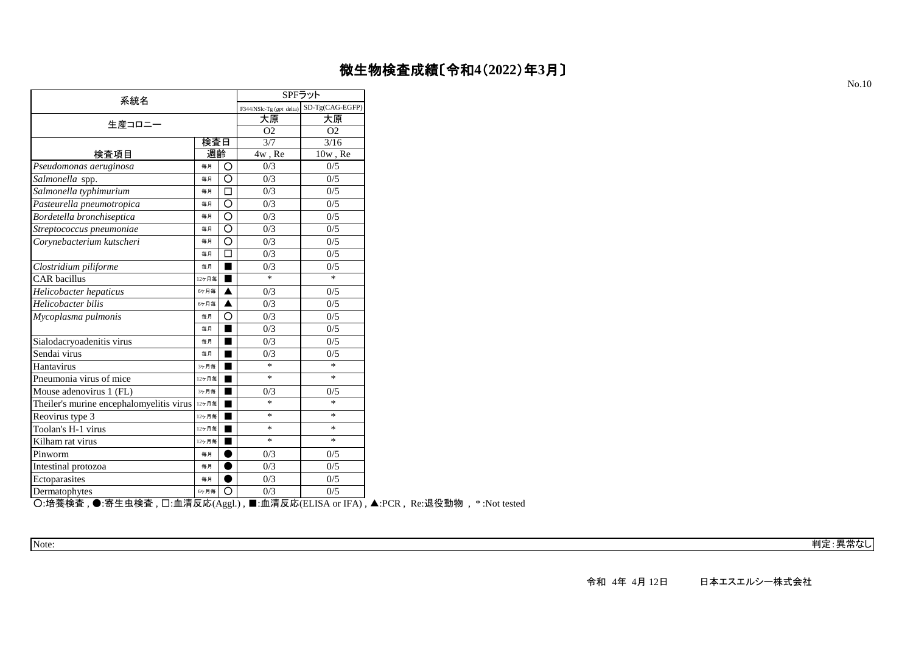|                                          |       |        | SPFラット                   |                 |
|------------------------------------------|-------|--------|--------------------------|-----------------|
| 系統名                                      |       |        | F344/NSlc-Tg (gpt delta) | SD-Tg(CAG-EGFP) |
| 生産コロニー                                   |       |        | 大原                       | 大原              |
|                                          |       |        | O <sub>2</sub>           | O <sub>2</sub>  |
|                                          | 検査日   |        | 3/7                      | 3/16            |
| 検査項目                                     | 週齡    |        | 4w, Re                   | $10w$ , Re      |
| Pseudomonas aeruginosa                   | 毎月    | O      | 0/3                      | 0/5             |
| Salmonella spp.                          | 毎月    | O      | 0/3                      | 0/5             |
| Salmonella typhimurium                   | 每月    | $\Box$ | 0/3                      | 0/5             |
| Pasteurella pneumotropica                | 毎月    | O      | 0/3                      | 0/5             |
| Bordetella bronchiseptica                | 毎月    | O      | 0/3                      | 0/5             |
| Streptococcus pneumoniae                 | 毎月    | O      | 0/3                      | 0/5             |
| Corynebacterium kutscheri                | 每月    | O      | 0/3                      | 0/5             |
|                                          | 毎月    | □      | 0/3                      | 0/5             |
| Clostridium piliforme                    | 毎月    | ٠      | 0/3                      | 0/5             |
| <b>CAR</b> bacillus                      | 12ヶ月毎 | ■      | $\ast$                   | $\ast$          |
| Helicobacter hepaticus                   | 6ヶ月毎  | ▲      | 0/3                      | 0/5             |
| Helicobacter bilis                       | 6ヶ月毎  |        | 0/3                      | 0/5             |
| Mycoplasma pulmonis                      | 毎月    | O      | 0/3                      | 0/5             |
|                                          | 毎月    | ٠      | 0/3                      | 0/5             |
| Sialodacryoadenitis virus                | 毎月    |        | 0/3                      | 0/5             |
| Sendai virus                             | 每月    | ٠      | 0/3                      | 0/5             |
| Hantavirus                               | 3ヶ月毎  | ■      | $\ast$                   | $\ast$          |
| Pneumonia virus of mice                  | 12ヶ月毎 |        | $\ast$                   | $\ast$          |
| Mouse adenovirus 1 (FL)                  | 3ヶ月毎  | ۳      | 0/3                      | 0/5             |
| Theiler's murine encephalomyelitis virus | 12ヶ月毎 |        | $\ast$                   | *               |
| Reovirus type 3                          | 12ヶ月毎 | ٠      | $\ast$                   | $\ast$          |
| Toolan's H-1 virus                       | 12ヶ月毎 |        | *                        | *               |
| Kilham rat virus                         | 12ヶ月毎 |        | $\ast$                   | $\ast$          |
| Pinworm                                  | 毎月    |        | 0/3                      | 0/5             |
| Intestinal protozoa                      | 毎月    | ٠      | 0/3                      | 0/5             |
| Ectoparasites                            | 毎月    |        | 0/3                      | 0/5             |
| Dermatophytes                            | 6ケ月毎  | О      | 0/3                      | 0/5             |

○:培養検査 , ●:寄生虫検査 , □:血清反応(Aggl.) , ■:血清反応(ELISA or IFA) , ▲:PCR , Re:退役動物 , \* :Not tested

Note: 判定:異常なし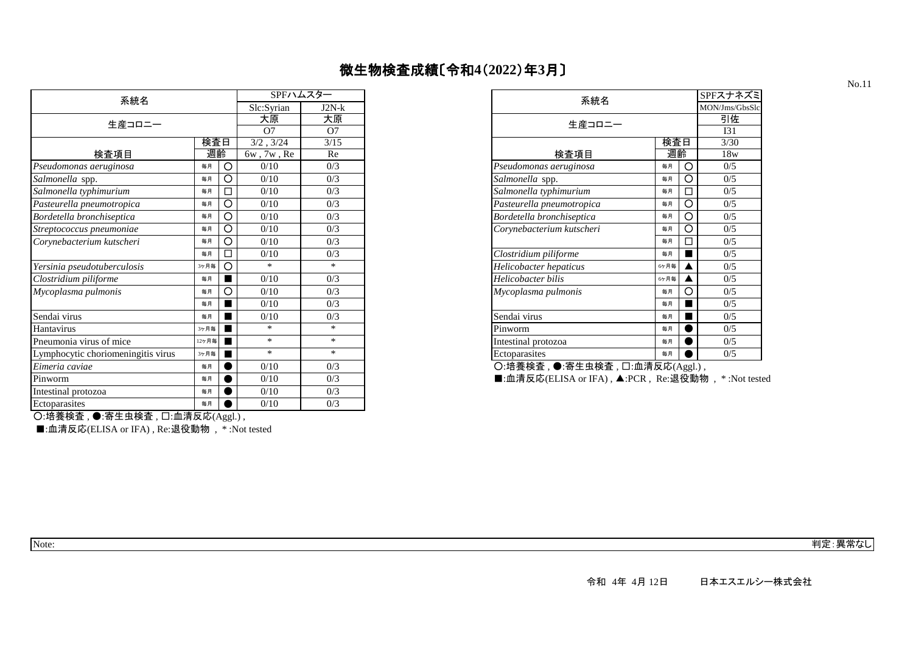| 系統名                                |       |   | SPFハムスター         |                | 系統名                                          |      |   |
|------------------------------------|-------|---|------------------|----------------|----------------------------------------------|------|---|
|                                    |       |   | Slc:Syrian       | $J2N-k$        |                                              |      |   |
| 生産コロニー                             |       |   | 大原               | 大原             | 生産コロニー                                       |      |   |
|                                    |       |   | O7               | O <sub>7</sub> |                                              |      |   |
|                                    | 検査日   |   | 3/2, 3/24        | $3/15$         |                                              | 検査日  |   |
| 検査項目                               | 週齡    |   | $6w$ , $7w$ , Re | Re             | 検査項目                                         | 週齡   |   |
| Pseudomonas aeruginosa             | 毎月    | O | 0/10             | 0/3            | Pseudomonas aeruginosa                       | 毎月   | O |
| Salmonella spp.                    | 毎月    | O | 0/10             | 0/3            | Salmonella spp.                              | 毎月   |   |
| Salmonella typhimurium             | 毎月    |   | 0/10             | 0/3            | Salmonella typhimurium                       | 毎月   |   |
| Pasteurella pneumotropica          | 毎月    | О | 0/10             | 0/3            | Pasteurella pneumotropica                    | 毎月   | O |
| Bordetella bronchiseptica          | 毎月    | O | 0/10             | 0/3            | Bordetella bronchiseptica                    | 毎月   | О |
| Streptococcus pneumoniae           | 毎月    | O | 0/10             | 0/3            | Corynebacterium kutscheri                    | 每月   | O |
| Corynebacterium kutscheri          | 毎月    | О | 0/10             | 0/3            |                                              | 毎月   |   |
|                                    | 毎月    |   | 0/10             | 0/3            | Clostridium piliforme                        | 毎月   |   |
| Yersinia pseudotuberculosis        | 3ヶ月毎  | O | *                | $*$            | Helicobacter hepaticus                       | 6ケ月毎 |   |
| Clostridium piliforme              | 毎月    |   | 0/10             | 0/3            | Helicobacter bilis                           | 6ヶ月毎 |   |
| Mycoplasma pulmonis                | 毎月    | О | 0/10             | 0/3            | Mycoplasma pulmonis                          | 毎月   |   |
|                                    | 毎月    |   | 0/10             | 0/3            |                                              | 毎月   |   |
| Sendai virus                       | 毎月    |   | 0/10             | 0/3            | Sendai virus                                 | 毎月   |   |
| Hantavirus                         | 3ヶ月毎  |   | $\ast$           | $*$            | Pinworm                                      | 毎月   |   |
| Pneumonia virus of mice            | 12ヶ月毎 |   | $\ast$           | $\ast$         | Intestinal protozoa                          | 毎月   |   |
| Lymphocytic choriomeningitis virus | 3ヶ月毎  |   | $\ast$           | $*$            | Ectoparasites                                | 毎月   |   |
| Eimeria caviae                     | 毎月    |   | 0/10             | 0/3            | ○:培養検査, ●:寄生虫検査, 口:血清反応(Aggl.),              |      |   |
| Pinworm                            | 毎月    |   | 0/10             | 0/3            | ■:血清反応(ELISA or IFA) , ▲:PCR , Re:退役動物 , *:N |      |   |
| Intestinal protozoa                | 毎月    |   | 0/10             | 0/3            |                                              |      |   |
| Ectoparasites                      | 毎月    |   | 0/10             | 0/3            |                                              |      |   |

|     |                | <b></b>          |               |                                                          | のロヘノ イ・ヘベ      |
|-----|----------------|------------------|---------------|----------------------------------------------------------|----------------|
|     |                | Slc:Syrian       | $J2N-k$       | 系統名                                                      | MON/Jms/GbsSlc |
|     |                | 大原               | 大原            | 生産コロニー                                                   | 引佐             |
|     |                | O7               | O7            |                                                          | I31            |
| 検査日 |                | 3/2, 3/24        | 3/15          | 検査日                                                      | 3/30           |
| 週齡  |                | $6w$ , $7w$ , Re | Re            | 週齡<br>検査項目                                               | 18w            |
| 毎月  | O              | 0/10             | 0/3           | Ω<br>每月<br>Pseudomonas aeruginosa                        | 0/5            |
| 毎月  | $\circ$        | 0/10             | 0/3           | Salmonella spp.<br>O<br>毎月                               | 0/5            |
| 毎月  | $\Box$         | 0/10             | 0/3           | Salmonella typhimurium<br>⊐<br>毎月                        | 0/5            |
| 毎月  | $\Omega$       | 0/10             | 0/3           | Pasteurella pneumotropica<br>O<br>毎月                     | 0/5            |
| 毎月  | O              | 0/10             | 0/3           | O<br>Bordetella bronchiseptica<br>毎月                     | 0/5            |
| 毎月  | $\Omega$       | 0/10             | 0/3           | Corynebacterium kutscheri<br>౧<br>每月                     | 0/5            |
| 毎月  | O              | 0/10             | 0/3           | ⊐<br>毎月                                                  | 0/5            |
| 毎月  | $\Box$         | 0/10             | 0/3           | Clostridium piliforme<br>毎月                              | 0/5            |
| ヶ月毎 | $\circ$        | $\ast$           | $\ast$        | Helicobacter hepaticus<br>6ヶ月毎                           | 0/5            |
| 毎月  |                | 0/10             | 0/3           | Helicobacter bilis<br>6ケ月毎                               | 0/5            |
| 毎月  | O              | 0/10             | 0/3           | Mycoplasma pulmonis<br>O<br>毎月                           | 0/5            |
| 毎月  |                | 0/10             | 0/3           | п<br>毎月                                                  | 0/5            |
| 毎月  | $\blacksquare$ | 0/10             | 0/3           | Sendai virus<br>п<br>毎月                                  | 0/5            |
| ヶ月毎 |                | $*$              | $\ast$        | Pinworm<br>毎月                                            | 0/5            |
| ヶ月毎 |                | $\ast$           | $\ast$        | Intestinal protozoa<br>毎月                                | 0/5            |
| ヶ月毎 |                | *                | $\ast$        | Ectoparasites<br>毎月                                      | 0/5            |
|     |                | $\sim$ $\sim$    | $\sim$ $\sim$ | $\bullet$ <b>EXAX ADD</b> FRAME OF LIFT $\bullet$ .<br>. |                |

■:血清反応(ELISA or IFA), ▲:PCR, Re:退役動物, \*:Not tested

 $O:$ 培養検査,  $\bigcirc$ :寄生虫検査,  $\square$ :血清反応 $(Aggl.)$ ,

■:血清反応(ELISA or IFA) , Re:退役動物 , \* :Not tested

Note: 判定:異常なし

 $\sqrt{\text{SDF}7 + \frac{1}{2}\hat{\tau}^2}$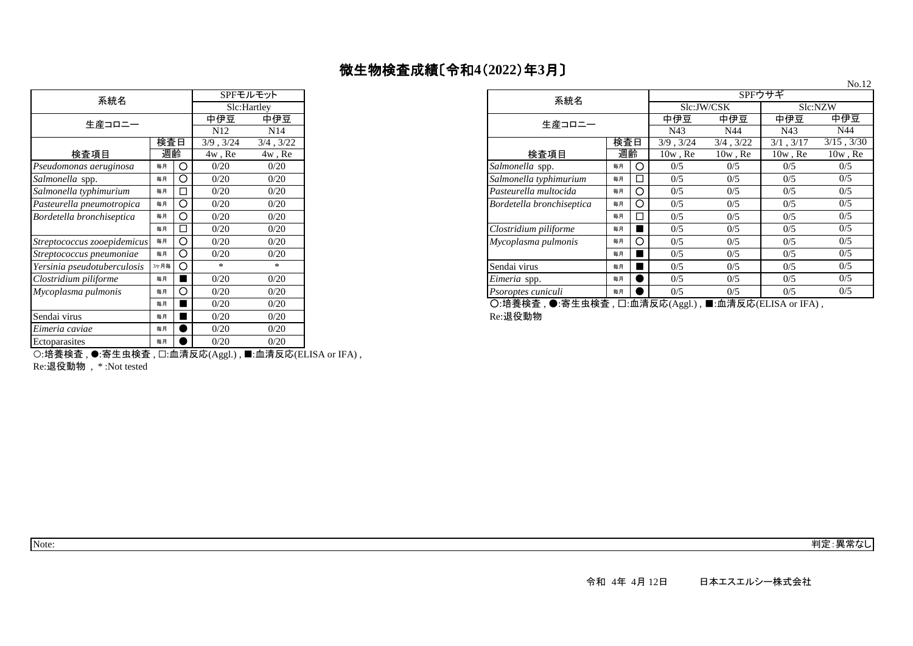| 微生物検査成績〔令和4(2022)年3月〕 |  |
|-----------------------|--|
|-----------------------|--|

| 系統名                         |      |     | SPFモルモット        |                 |  |  |
|-----------------------------|------|-----|-----------------|-----------------|--|--|
|                             |      |     |                 | Slc:Hartley     |  |  |
| 生産コロニー                      |      |     | 中伊豆             | 中伊豆             |  |  |
|                             |      |     | N <sub>12</sub> | N <sub>14</sub> |  |  |
|                             | 検査日  |     | 3/9.3/24        | $3/4$ , $3/22$  |  |  |
| 検査項目                        | 週齡   |     | $4w$ , Re       | $4w$ , Re       |  |  |
| Pseudomonas aeruginosa      | 毎月   | O   | 0/20            | 0/20            |  |  |
| Salmonella spp.             | 毎月   | O   | 0/20            | 0/20            |  |  |
| Salmonella typhimurium      | 毎月   |     | 0/20            | 0/20            |  |  |
| Pasteurella pneumotropica   | 毎月   | ∩   | 0/20            | 0/20            |  |  |
| Bordetella bronchiseptica   | 毎月   | ( ) | 0/20            | 0/20            |  |  |
|                             | 毎月   |     | 0/20            | 0/20            |  |  |
| Streptococcus zooepidemicus | 毎月   | ∩   | 0/20            | 0/20            |  |  |
| Streptococcus pneumoniae    | 毎月   | ∩   | 0/20            | 0/20            |  |  |
| Yersinia pseudotuberculosis | 3ヶ月毎 | ∩   | *               | *               |  |  |
| Clostridium piliforme       | 毎月   |     | 0/20            | 0/20            |  |  |
| Mycoplasma pulmonis         | 毎月   | O   | 0/20            | 0/20            |  |  |
|                             | 毎月   |     | 0/20            | 0/20            |  |  |
| Sendai virus                | 毎月   |     | 0/20            | 0/20            |  |  |
| Eimeria caviae              | 毎月   |     | 0/20            | 0/20            |  |  |
| Ectoparasites               | 毎月   |     | 0/20            | 0/20            |  |  |
|                             |      |     |                 |                 |  |  |

| 系統名                         |      | SPFモルモット          |                 |           |  |  |
|-----------------------------|------|-------------------|-----------------|-----------|--|--|
|                             |      |                   | Slc:Hartley     |           |  |  |
| 生産コロニー                      |      |                   | 中伊豆             | 中伊豆       |  |  |
|                             |      |                   | N <sub>12</sub> | N14       |  |  |
| 検査日<br>週齡<br>検査項目           |      | 3/9.3/24          | 3/4, 3/22       |           |  |  |
|                             |      |                   | $4w$ , Re       | $4w$ , Re |  |  |
| Pseudomonas aeruginosa      | 毎月   | O                 | 0/20            | 0/20      |  |  |
| Salmonella spp.             | 毎月   | O                 | 0/20            | 0/20      |  |  |
| Salmonella typhimurium      | 毎月   | $\Box$            | 0/20            | 0/20      |  |  |
| Pasteurella pneumotropica   | 毎月   | O                 | 0/20            | 0/20      |  |  |
| Bordetella bronchiseptica   | 毎月   | O                 | 0/20            | 0/20      |  |  |
|                             | 毎月   | $\Box$            | 0/20            | 0/20      |  |  |
| Streptococcus zooepidemicus | 毎月   | O                 | 0/20            | 0/20      |  |  |
| Streptococcus pneumoniae    | 毎月   | O                 | 0/20            | 0/20      |  |  |
| Yersinia pseudotuberculosis | 3ヶ月毎 | $\circ$           | $*$             | $*$       |  |  |
| Clostridium piliforme       | 毎月   |                   | 0/20            | 0/20      |  |  |
| Mycoplasma pulmonis         | 毎月   | O                 | 0/20            | 0/20      |  |  |
|                             | $ -$ | <b>CONTRACTOR</b> | 0/20            | 0/20      |  |  |

〇:培養検査 , ●:寄生虫検査 , □:血清反応(Aggl.) , ■:血清反応(ELISA or IFA) ,<br>Re:退役動物

○:培養検査 , ●:寄生虫検査 , □:血清反応(Aggl.) , ■:血清反応(ELISA or IFA) ,

Re:退役動物 , \* :Not tested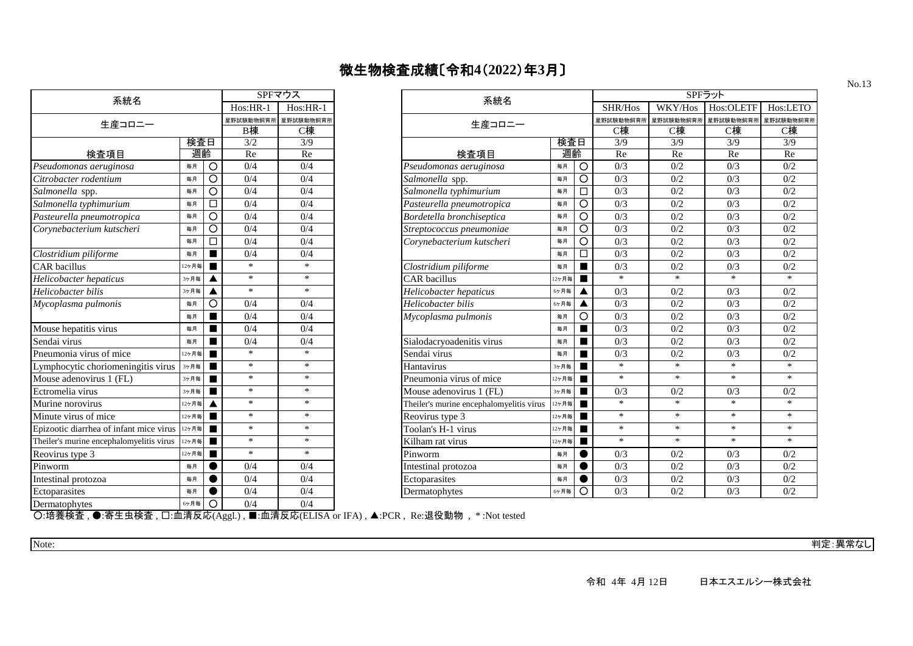| 系統名                                      | SPFマウス   |          |           |           |  |  |
|------------------------------------------|----------|----------|-----------|-----------|--|--|
|                                          | Hos:HR-1 | Hos:HR-1 |           |           |  |  |
| 生産コロニー                                   |          |          | 星野試験動物飼育所 | 星野試験動物飼育所 |  |  |
|                                          |          |          | B棟        | C棟        |  |  |
|                                          | 検査日      |          | 3/2       | 3/9       |  |  |
| 検査項目                                     | 週齡       |          | Re        | Re        |  |  |
| Pseudomonas aeruginosa                   | 毎月       | Ο        | 0/4       | 0/4       |  |  |
| Citrobacter rodentium                    | 毎月       | O        | 0/4       | 0/4       |  |  |
| Salmonella spp.                          | 毎月       | O        | 0/4       | 0/4       |  |  |
| Salmonella typhimurium                   | 毎月       | П        | 0/4       | 0/4       |  |  |
| Pasteurella pneumotropica                | 毎月       | O        | 0/4       | 0/4       |  |  |
| Corynebacterium kutscheri                | 毎月       | Ω        | 0/4       | 0/4       |  |  |
|                                          | 毎月       | п        | 0/4       | 0/4       |  |  |
| Clostridium piliforme                    | 毎月       |          | 0/4       | 0/4       |  |  |
| <b>CAR</b> bacillus                      | 12ヶ月毎    | ٠        | $\ast$    | $\ast$    |  |  |
| Helicobacter hepaticus                   | 3ヶ月毎     |          | *         | *         |  |  |
| Helicobacter bilis                       | 3ヶ月毎     | ▲        | $\ast$    | $\ast$    |  |  |
| Mycoplasma pulmonis                      | 毎月       | Ω        | 0/4       | 0/4       |  |  |
|                                          | 每月       |          | 0/4       | 0/4       |  |  |
| Mouse hepatitis virus                    | 毎月       |          | 0/4       | 0/4       |  |  |
| Sendai virus                             | 毎月       |          | 0/4       | 0/4       |  |  |
| Pneumonia virus of mice                  | 12ヶ月毎    |          | $\ast$    | $\ast$    |  |  |
| Lymphocytic choriomeningitis virus       | 3ヶ月毎     |          | $\ast$    | *         |  |  |
| Mouse adenovirus 1 (FL)                  | 3ヶ月毎     |          | *         | *         |  |  |
| Ectromelia virus                         | 3ヶ月毎     | ■        | *         | *         |  |  |
| Murine norovirus                         | 12ヶ月毎    | ▲        | ∗         | *         |  |  |
| Minute virus of mice                     | 12ヶ月毎    | ٠        | $\ast$    | $\ast$    |  |  |
| Epizootic diarrhea of infant mice virus  | 12ヶ月毎    | ▅        | *         | *         |  |  |
| Theiler's murine encephalomyelitis virus | 12ヶ月毎    | ▅        | *         | *         |  |  |
| Reovirus type 3                          | 12ヶ月毎    |          | $\ast$    | $\ast$    |  |  |
| Pinworm                                  | 毎月       |          | 0/4       | 0/4       |  |  |
| Intestinal protozoa                      | 毎月       |          | 0/4       | 0/4       |  |  |
| Ectoparasites                            | 毎月       |          | 0/4       | 0/4       |  |  |
| Dermatophytes                            | 6ヶ月毎     | ∩        | 0/4       | 0/4       |  |  |

| 系統名                                                      |       |                | SPFマウス     |            | 系統名                                      |       |                | SPFラット   |          |           |           |  |
|----------------------------------------------------------|-------|----------------|------------|------------|------------------------------------------|-------|----------------|----------|----------|-----------|-----------|--|
|                                                          |       |                | $Hos:HR-1$ | $Hos:HR-1$ |                                          |       |                | SHR/Hos  | WKY/Hos  | Hos:OLETF | Hos:LETO  |  |
| 生産コロニー                                                   |       |                | 星野試験動物飼育所  | 星野試験動物飼育   | 生産コロニー                                   |       |                | 星野試験動物飼育 | 星野試験動物飼育 | 星野試験動物飼育所 | 星野試験動物飼育所 |  |
|                                                          |       |                | B棟         | C棟         |                                          |       |                | C棟       | C棟       | C棟        | C棟        |  |
| 検査日                                                      |       |                | 3/2        | 3/9        |                                          |       | 検査日            | 3/9      | 3/9      | 3/9       | 3/9       |  |
| 検査項目                                                     | 週齡    |                | Re         | Re         | 検査項目                                     | 週齡    |                | Re       | Re       | Re        | Re        |  |
| Pseudomonas aeruginosa                                   | 毎月    | O              | 0/4        | 0/4        | Pseudomonas aeruginosa                   | 毎月    | $\circ$        | 0/3      | 0/2      | 0/3       | 0/2       |  |
| Citrobacter rodentium                                    | 毎月    | $\circ$        | 0/4        | 0/4        | Salmonella spp.                          | 毎月    | $\circ$        | 0/3      | 0/2      | 0/3       | 0/2       |  |
| Salmonella spp.                                          | 毎月    | $\circ$        | 0/4        | 0/4        | Salmonella typhimurium                   | 毎月    | $\Box$         | 0/3      | 0/2      | 0/3       | 0/2       |  |
| Salmonella typhimurium                                   | 毎月    | $\Box$         | 0/4        | 0/4        | Pasteurella pneumotropica                | 毎月    | $\circ$        | 0/3      | 0/2      | 0/3       | 0/2       |  |
| Pasteurella pneumotropica                                | 毎月    | $\circ$        | 0/4        | 0/4        | Bordetella bronchiseptica                | 毎月    | $\circ$        | 0/3      | 0/2      | 0/3       | 0/2       |  |
| Corynebacterium kutscheri                                | 毎月    | $\circ$        | 0/4        | 0/4        | Streptococcus pneumoniae                 | 毎月    | $\circ$        | 0/3      | 0/2      | 0/3       | 0/2       |  |
|                                                          | 毎月    | $\Box$         | 0/4        | 0/4        | Corynebacterium kutscheri                | 毎月    | $\circ$        | 0/3      | 0/2      | 0/3       | 0/2       |  |
| Clostridium piliforme                                    | 每月    | п              | 0/4        | 0/4        |                                          | 毎月    | $\Box$         | 0/3      | 0/2      | 0/3       | 0/2       |  |
| <b>CAR</b> bacillus                                      | 12ヶ月毎 | $\blacksquare$ | $\ast$     | $\ast$     | Clostridium piliforme                    | 毎月    |                | 0/3      | 0/2      | 0/3       | 0/2       |  |
| Helicobacter hepaticus                                   | 3ヶ月毎  |                | $\ast$     | $\ast$     | <b>CAR</b> bacillus                      | 12ヶ月毎 |                | $\ast$   | $\ast$   | $*$       | $\ast$    |  |
| Helicobacter bilis                                       | 3ヶ月毎  |                | $\ast$     | $*$        | Helicobacter hepaticus                   | 6ヶ月毎  |                | 0/3      | 0/2      | 0/3       | 0/2       |  |
| Mycoplasma pulmonis                                      | 毎月    | $\circ$        | 0/4        | 0/4        | Helicobacter bilis                       | 6ヶ月毎  |                | 0/3      | 0/2      | 0/3       | 0/2       |  |
|                                                          | 毎月    | п              | 0/4        | 0/4        | Mycoplasma pulmonis                      | 毎月    | $\circ$        | 0/3      | 0/2      | 0/3       | 0/2       |  |
| Mouse hepatitis virus                                    | 毎月    | $\blacksquare$ | 0/4        | 0/4        |                                          | 毎月    |                | 0/3      | 0/2      | 0/3       | 0/2       |  |
| Sendai virus                                             | 毎月    | П              | 0/4        | 0/4        | Sialodacryoadenitis virus                | 毎月    |                | 0/3      | 0/2      | 0/3       | 0/2       |  |
| Pneumonia virus of mice                                  | 12ヶ月毎 | $\blacksquare$ | $\ast$     | $\ast$     | Sendai virus                             | 毎月    |                | 0/3      | 0/2      | 0/3       | 0/2       |  |
| Lymphocytic choriomeningitis virus                       | 3ヶ月毎  | п              | $\ast$     | $\ast$     | Hantavirus                               | 3ヶ月毎  |                | $*$      | $\ast$   | $\ast$    | $\ast$    |  |
| Mouse adenovirus 1 (FL)                                  | 3ヶ月毎  | $\blacksquare$ | $\ast$     | $\ast$     | Pneumonia virus of mice                  | 12ヶ月毎 |                | $\ast$   | $\ast$   | $\ast$    | $*$       |  |
| Ectromelia virus                                         | 3ヶ月毎  | $\blacksquare$ | $\ast$     | $\ast$     | Mouse adenovirus 1 (FL)                  | 3ヶ月毎  | $\blacksquare$ | 0/3      | 0/2      | 0/3       | 0/2       |  |
| Murine norovirus                                         | 12ヶ月毎 |                | $\ast$     | $\ast$     | Theiler's murine encephalomyelitis virus | 12ヶ月毎 |                | $\ast$   | $\ast$   | $*$       | $\ast$    |  |
| Minute virus of mice                                     | 12ヶ月毎 |                | $\ast$     | $\ast$     | Reovirus type 3<br>12ヶ月毎                 |       |                | $\ast$   | $\ast$   | $\ast$    | $\ast$    |  |
| Epizootic diarrhea of infant mice virus $\vert^{12\tau}$ |       | $\blacksquare$ | $\ast$     | $\ast$     | Toolan's H-1 virus<br>12ヶ月毎              |       |                | $\ast$   | $\ast$   | $\ast$    | $\ast$    |  |
| Theiler's murine encephalomyelitis virus                 | 12ヶ月毎 | п              | $\ast$     | $\ast$     | Kilham rat virus                         | 12ヶ月毎 |                | $\ast$   | $\ast$   | $\ast$    | $\ast$    |  |
| Reovirus type 3                                          | 12ヶ月毎 | п              | $\ast$     | $\ast$     | Pinworm                                  | 毎月    |                | 0/3      | 0/2      | 0/3       | 0/2       |  |
| Pinworm                                                  | 毎月    |                | 0/4        | 0/4        | Intestinal protozoa                      | 毎月    |                | 0/3      | 0/2      | 0/3       | 0/2       |  |
| Intestinal protozoa                                      | 毎月    |                | 0/4        | 0/4        | Ectoparasites                            | 毎月    |                | 0/3      | 0/2      | 0/3       | 0/2       |  |
| Ectoparasites                                            | 毎月    | $\bullet$      | 0/4        | 0/4        | Dermatophytes                            | 6ヶ月毎  | $\circ$        | 0/3      | 0/2      | 0/3       | 0/2       |  |

○:培養検査 , ●:寄生虫検査 , □:血清反応(Aggl.) , ■:血清反応(ELISA or IFA) , ▲:PCR , Re:退役動物 , \* :Not tested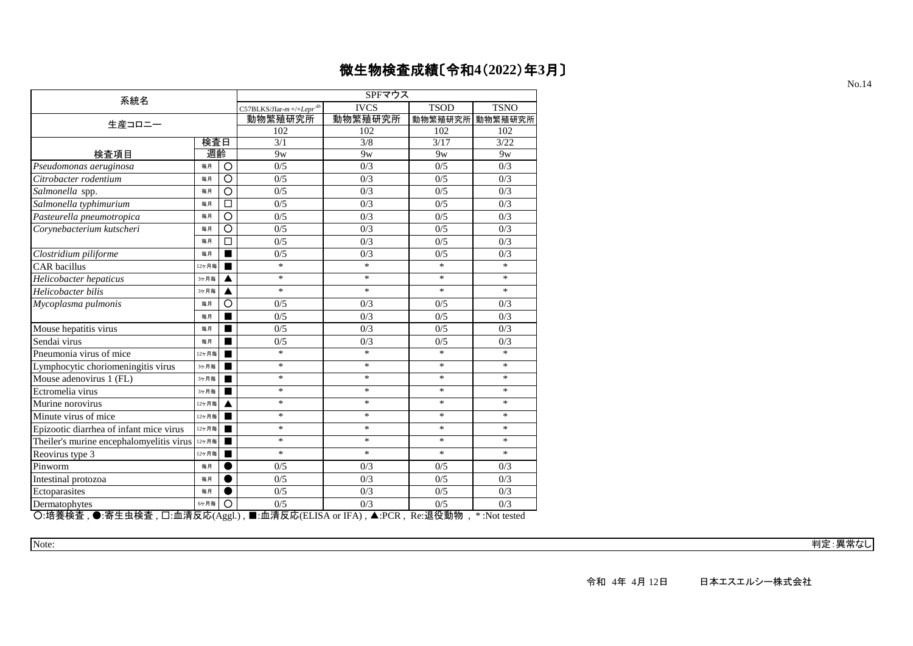| 系統名                                              |       |                | SPFマウス                                |                                                             |                |                        |  |  |  |
|--------------------------------------------------|-------|----------------|---------------------------------------|-------------------------------------------------------------|----------------|------------------------|--|--|--|
|                                                  |       |                | $C57BLKS/JIar-m+/+Lepr$ <sup>db</sup> | <b>IVCS</b>                                                 | <b>TSOD</b>    | <b>TSNO</b>            |  |  |  |
| 生産コロニー                                           |       |                | 動物繁殖研究所                               | 動物繁殖研究所                                                     |                | 動物繁殖研究所 動物繁殖研究所        |  |  |  |
|                                                  |       |                | 102                                   | 102                                                         | 102            | 102                    |  |  |  |
|                                                  | 検査日   |                | 3/1                                   | 3/8                                                         | 3/17           | 3/22                   |  |  |  |
| 検査項目                                             | 週齡    |                | 9 <sub>W</sub>                        | 9 <sub>W</sub>                                              | 9 <sub>W</sub> | 9 <sub>W</sub>         |  |  |  |
| Pseudomonas aeruginosa                           | 毎月    | O              | 0/5                                   | 0/3                                                         | 0/5            | 0/3                    |  |  |  |
| Citrobacter rodentium                            | 毎月    | $\circ$        | 0/5                                   | 0/3                                                         | 0/5            | 0/3                    |  |  |  |
| Salmonella spp.                                  | 毎月    | O              | 0/5                                   | 0/3                                                         | 0/5            | 0/3                    |  |  |  |
| Salmonella typhimurium                           | 毎月    | □              | 0/5                                   | 0/3                                                         | 0/5            | 0/3                    |  |  |  |
| Pasteurella pneumotropica                        | 毎月    | Ō              | 0/5                                   | 0/3                                                         | 0/5            | 0/3                    |  |  |  |
| Corynebacterium kutscheri                        | 毎月    | O              | 0/5                                   | 0/3                                                         | 0/5            | 0/3                    |  |  |  |
|                                                  | 毎月    | П              | 0/5                                   | 0/3                                                         | 0/5            | 0/3                    |  |  |  |
| Clostridium piliforme                            | 毎月    | $\blacksquare$ | 0/5                                   | 0/3                                                         | 0/5            | 0/3                    |  |  |  |
| <b>CAR</b> bacillus                              | 12ヶ月毎 |                | $\ast$                                | $\ast$                                                      | $\ast$         | $\ast$                 |  |  |  |
| Helicobacter hepaticus                           | 3ヶ月毎  |                | $\ast$                                | $\ast$                                                      | $\ast$         | $\ast$                 |  |  |  |
| Helicobacter bilis                               | 3ヶ月毎  | ▲              | $\ast$                                | *                                                           | *              | $\ast$                 |  |  |  |
| Mycoplasma pulmonis                              | 毎月    | O              | 0/5                                   | 0/3                                                         | 0/5            | 0/3                    |  |  |  |
|                                                  | 毎月    |                | 0/5                                   | 0/3                                                         | 0/5            | 0/3                    |  |  |  |
| Mouse hepatitis virus                            | 毎月    | ■              | 0/5                                   | 0/3                                                         | 0/5            | 0/3                    |  |  |  |
| Sendai virus                                     | 毎月    |                | 0/5                                   | 0/3                                                         | 0/5            | 0/3                    |  |  |  |
| Pneumonia virus of mice                          | 12ヶ月毎 |                | $\ast$                                | $\ast$                                                      | $\ast$         | $*$                    |  |  |  |
| Lymphocytic choriomeningitis virus               | 3ヶ月毎  | ■              | $\ast$                                | $\ast$                                                      | $\ast$         | $\ast$                 |  |  |  |
| Mouse adenovirus 1 (FL)                          | 3ヶ月毎  |                | $\ast$                                | $\ast$                                                      | $\ast$         | $\ast$                 |  |  |  |
| Ectromelia virus                                 | 3ヶ月毎  |                | $\ast$                                | $\ast$                                                      | $\ast$         | $\ast$                 |  |  |  |
| Murine norovirus                                 | 12ヶ月毎 |                | *                                     | $\ast$                                                      | *              | $\ast$                 |  |  |  |
| Minute virus of mice                             | 12ヶ月毎 |                | $\ast$                                | $\ast$                                                      | *              | $\ast$                 |  |  |  |
| Epizootic diarrhea of infant mice virus          | 12ヶ月毎 | ш              | $\ast$                                | $\ast$                                                      | $\ast$         | $\ast$                 |  |  |  |
| Theiler's murine encephalomyelitis virus         | 12ヶ月毎 |                | $\ast$                                | $\ast$                                                      | $\ast$         | $\ast$                 |  |  |  |
| Reovirus type 3                                  | 12ヶ月毎 |                | $\ast$                                | $\ast$                                                      | $\ast$         | $\ast$                 |  |  |  |
| Pinworm                                          | 毎月    |                | 0/5                                   | 0/3                                                         | 0/5            | 0/3                    |  |  |  |
| Intestinal protozoa                              | 毎月    |                | 0/5                                   | 0/3                                                         | 0/5            | 0/3                    |  |  |  |
| Ectoparasites                                    | 毎月    |                | 0/5                                   | 0/3                                                         | 0/5            | 0/3                    |  |  |  |
| Dermatophytes                                    | 6ヶ月毎  | O              | 0/5                                   | 0/3                                                         | 0/5            | 0/3                    |  |  |  |
| O·培养焓杏 ●·塞生中焓杏 口·血清反応(Aggl) ■·血清反応(ELISA or IEA) |       |                |                                       | $\blacktriangle$ · $\blacktriangleright$ $\curvearrowright$ | <b>Re-混怨動物</b> | $*$ $\cdot$ Not tested |  |  |  |

○:培養検査 , ●:寄生虫検査 , □:血清反応(Aggl.) , ■:血清反応(ELISA or IFA) , ▲:PCR , Re:退役動物 , \* :Not tested

Note: 判定:異常なし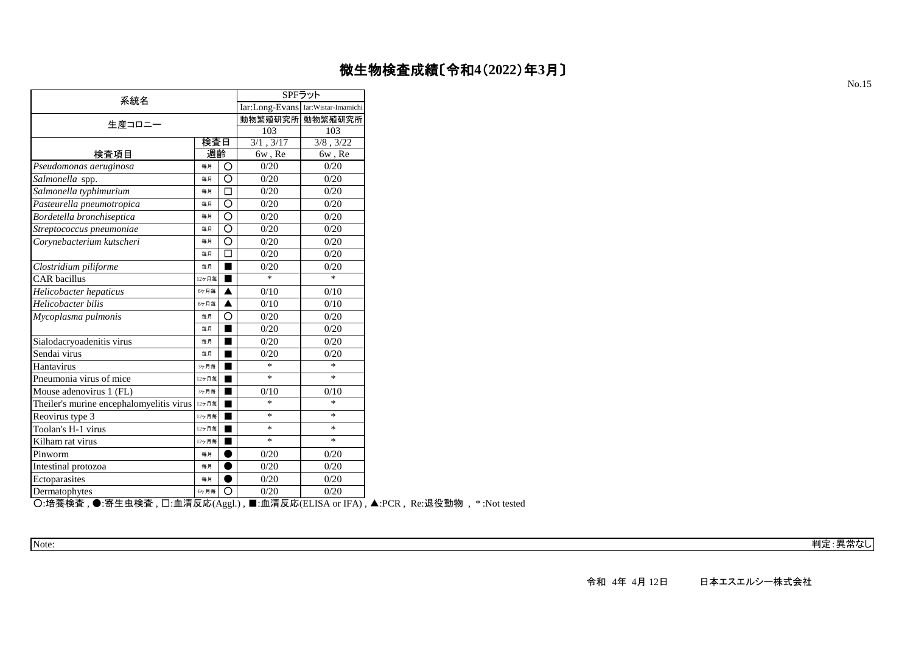| Iar:Long-Evans Iar:Wistar-Imamichi<br>動物繁殖研究所<br>生産コロニー<br>103<br>103<br>検査日<br>3/1, 3/17<br>$3/8$ , $3/22$<br>週齡<br>検査項目<br>6w, Re<br>6w, Re<br>O<br>毎月<br>0/20<br>0/20<br>0/20<br>0/20<br>O<br>每月<br>□<br>0/20<br>0/20<br>毎月<br>O<br>0/20<br>0/20<br>毎月<br>O<br>0/20<br>0/20<br>毎月<br>0/20<br>0/20<br>O<br>毎月<br>O<br>0/20<br>0/20<br>毎月<br>П<br>0/20<br>0/20<br>毎月<br>0/20<br>0/20<br>毎月<br>$\ast$<br>$\ast$<br>ш<br>12ヶ月毎<br>0/10<br>0/10<br>6ヶ月毎<br>▲<br>0/10<br>0/10<br>6ヶ月毎<br>0/20<br>0/20<br>毎月<br>Ο<br>0/20<br>0/20<br>毎月<br>0/20<br>0/20<br>毎月<br>0/20<br>0/20<br>每月<br>$\ast$<br>$\ast$<br>3ヶ月毎<br>$\ast$<br>$\ast$<br>12ヶ月毎<br>0/10<br>3ヶ月毎<br>0/10<br>$\ast$<br>*<br>12ヶ月毎<br>$\ast$<br>*<br>12ヶ月毎<br>$\ast$<br>$\ast$<br>12ヶ月毎<br>$\ast$<br>$\ast$<br>12ヶ月毎<br>0/20<br>0/20<br>毎月<br>0/20<br>0/20<br>毎月<br>0/20<br>0/20<br>毎月<br>Ω<br>0/20<br>0/20<br>6ヶ月毎 |                                          | SPFラット |         |  |  |  |  |  |
|---------------------------------------------------------------------------------------------------------------------------------------------------------------------------------------------------------------------------------------------------------------------------------------------------------------------------------------------------------------------------------------------------------------------------------------------------------------------------------------------------------------------------------------------------------------------------------------------------------------------------------------------------------------------------------------------------------------------------------------------------------------------------------------------------------------------------------------------------------------------------|------------------------------------------|--------|---------|--|--|--|--|--|
|                                                                                                                                                                                                                                                                                                                                                                                                                                                                                                                                                                                                                                                                                                                                                                                                                                                                           | 系統名                                      |        |         |  |  |  |  |  |
|                                                                                                                                                                                                                                                                                                                                                                                                                                                                                                                                                                                                                                                                                                                                                                                                                                                                           |                                          |        | 動物繁殖研究所 |  |  |  |  |  |
|                                                                                                                                                                                                                                                                                                                                                                                                                                                                                                                                                                                                                                                                                                                                                                                                                                                                           |                                          |        |         |  |  |  |  |  |
|                                                                                                                                                                                                                                                                                                                                                                                                                                                                                                                                                                                                                                                                                                                                                                                                                                                                           |                                          |        |         |  |  |  |  |  |
|                                                                                                                                                                                                                                                                                                                                                                                                                                                                                                                                                                                                                                                                                                                                                                                                                                                                           |                                          |        |         |  |  |  |  |  |
|                                                                                                                                                                                                                                                                                                                                                                                                                                                                                                                                                                                                                                                                                                                                                                                                                                                                           | Pseudomonas aeruginosa                   |        |         |  |  |  |  |  |
|                                                                                                                                                                                                                                                                                                                                                                                                                                                                                                                                                                                                                                                                                                                                                                                                                                                                           | Salmonella spp.                          |        |         |  |  |  |  |  |
|                                                                                                                                                                                                                                                                                                                                                                                                                                                                                                                                                                                                                                                                                                                                                                                                                                                                           | Salmonella typhimurium                   |        |         |  |  |  |  |  |
|                                                                                                                                                                                                                                                                                                                                                                                                                                                                                                                                                                                                                                                                                                                                                                                                                                                                           | Pasteurella pneumotropica                |        |         |  |  |  |  |  |
|                                                                                                                                                                                                                                                                                                                                                                                                                                                                                                                                                                                                                                                                                                                                                                                                                                                                           | Bordetella bronchiseptica                |        |         |  |  |  |  |  |
|                                                                                                                                                                                                                                                                                                                                                                                                                                                                                                                                                                                                                                                                                                                                                                                                                                                                           | Streptococcus pneumoniae                 |        |         |  |  |  |  |  |
|                                                                                                                                                                                                                                                                                                                                                                                                                                                                                                                                                                                                                                                                                                                                                                                                                                                                           | Corynebacterium kutscheri                |        |         |  |  |  |  |  |
|                                                                                                                                                                                                                                                                                                                                                                                                                                                                                                                                                                                                                                                                                                                                                                                                                                                                           |                                          |        |         |  |  |  |  |  |
|                                                                                                                                                                                                                                                                                                                                                                                                                                                                                                                                                                                                                                                                                                                                                                                                                                                                           | Clostridium piliforme                    |        |         |  |  |  |  |  |
|                                                                                                                                                                                                                                                                                                                                                                                                                                                                                                                                                                                                                                                                                                                                                                                                                                                                           | <b>CAR</b> bacillus                      |        |         |  |  |  |  |  |
|                                                                                                                                                                                                                                                                                                                                                                                                                                                                                                                                                                                                                                                                                                                                                                                                                                                                           | Helicobacter hepaticus                   |        |         |  |  |  |  |  |
|                                                                                                                                                                                                                                                                                                                                                                                                                                                                                                                                                                                                                                                                                                                                                                                                                                                                           | Helicobacter bilis                       |        |         |  |  |  |  |  |
|                                                                                                                                                                                                                                                                                                                                                                                                                                                                                                                                                                                                                                                                                                                                                                                                                                                                           | Mycoplasma pulmonis                      |        |         |  |  |  |  |  |
|                                                                                                                                                                                                                                                                                                                                                                                                                                                                                                                                                                                                                                                                                                                                                                                                                                                                           |                                          |        |         |  |  |  |  |  |
|                                                                                                                                                                                                                                                                                                                                                                                                                                                                                                                                                                                                                                                                                                                                                                                                                                                                           | Sialodacryoadenitis virus                |        |         |  |  |  |  |  |
|                                                                                                                                                                                                                                                                                                                                                                                                                                                                                                                                                                                                                                                                                                                                                                                                                                                                           | Sendai virus                             |        |         |  |  |  |  |  |
|                                                                                                                                                                                                                                                                                                                                                                                                                                                                                                                                                                                                                                                                                                                                                                                                                                                                           | Hantavirus                               |        |         |  |  |  |  |  |
|                                                                                                                                                                                                                                                                                                                                                                                                                                                                                                                                                                                                                                                                                                                                                                                                                                                                           | Pneumonia virus of mice                  |        |         |  |  |  |  |  |
|                                                                                                                                                                                                                                                                                                                                                                                                                                                                                                                                                                                                                                                                                                                                                                                                                                                                           | Mouse adenovirus 1 (FL)                  |        |         |  |  |  |  |  |
|                                                                                                                                                                                                                                                                                                                                                                                                                                                                                                                                                                                                                                                                                                                                                                                                                                                                           | Theiler's murine encephalomyelitis virus |        |         |  |  |  |  |  |
|                                                                                                                                                                                                                                                                                                                                                                                                                                                                                                                                                                                                                                                                                                                                                                                                                                                                           | Reovirus type 3                          |        |         |  |  |  |  |  |
|                                                                                                                                                                                                                                                                                                                                                                                                                                                                                                                                                                                                                                                                                                                                                                                                                                                                           | Toolan's H-1 virus                       |        |         |  |  |  |  |  |
|                                                                                                                                                                                                                                                                                                                                                                                                                                                                                                                                                                                                                                                                                                                                                                                                                                                                           | Kilham rat virus                         |        |         |  |  |  |  |  |
|                                                                                                                                                                                                                                                                                                                                                                                                                                                                                                                                                                                                                                                                                                                                                                                                                                                                           | Pinworm                                  |        |         |  |  |  |  |  |
|                                                                                                                                                                                                                                                                                                                                                                                                                                                                                                                                                                                                                                                                                                                                                                                                                                                                           | Intestinal protozoa                      |        |         |  |  |  |  |  |
|                                                                                                                                                                                                                                                                                                                                                                                                                                                                                                                                                                                                                                                                                                                                                                                                                                                                           | Ectoparasites                            |        |         |  |  |  |  |  |
|                                                                                                                                                                                                                                                                                                                                                                                                                                                                                                                                                                                                                                                                                                                                                                                                                                                                           | Dermatophytes                            |        |         |  |  |  |  |  |

○:培養検査 , ●:寄生虫検査 , □:血清反応(Aggl.) , ■:血清反応(ELISA or IFA) , ▲:PCR , Re:退役動物 , \* :Not tested

Note: 判定:異常なし